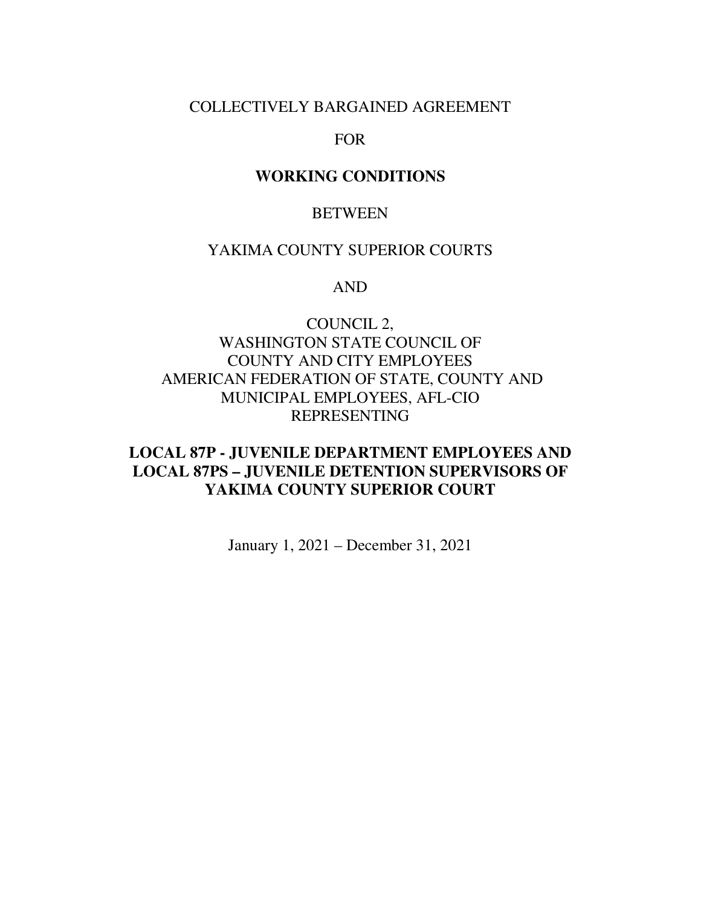# COLLECTIVELY BARGAINED AGREEMENT

### FOR

### **WORKING CONDITIONS**

### BETWEEN

## YAKIMA COUNTY SUPERIOR COURTS

### AND

# COUNCIL 2, WASHINGTON STATE COUNCIL OF COUNTY AND CITY EMPLOYEES AMERICAN FEDERATION OF STATE, COUNTY AND MUNICIPAL EMPLOYEES, AFL-CIO REPRESENTING

# **LOCAL 87P - JUVENILE DEPARTMENT EMPLOYEES AND LOCAL 87PS – JUVENILE DETENTION SUPERVISORS OF YAKIMA COUNTY SUPERIOR COURT**

January 1, 2021 – December 31, 2021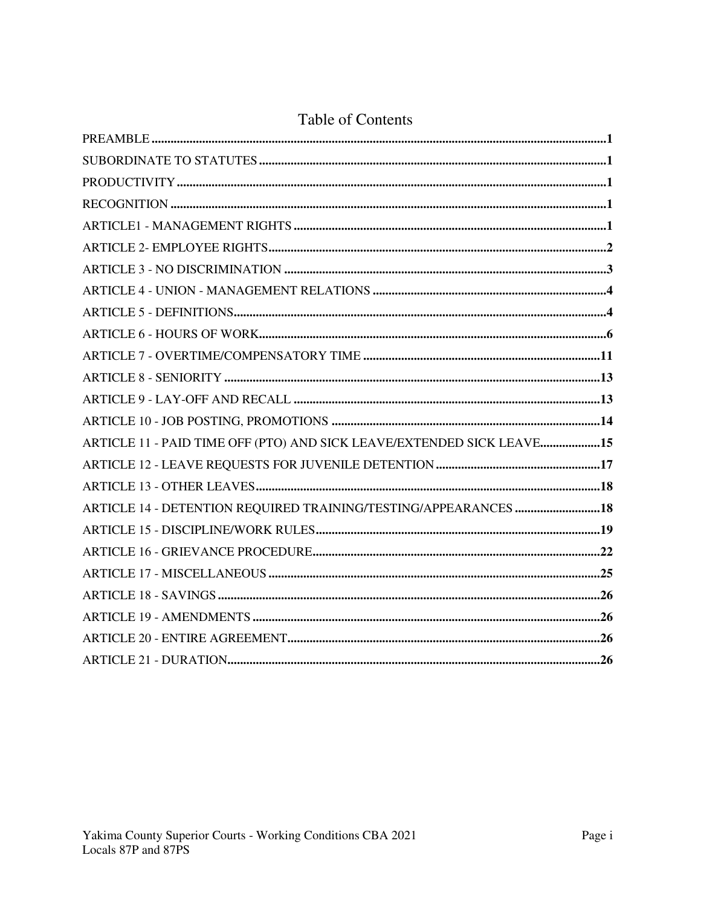| ARTICLE 11 - PAID TIME OFF (PTO) AND SICK LEAVE/EXTENDED SICK LEAVE15 |  |
|-----------------------------------------------------------------------|--|
|                                                                       |  |
|                                                                       |  |
| ARTICLE 14 - DETENTION REQUIRED TRAINING/TESTING/APPEARANCES 18       |  |
|                                                                       |  |
|                                                                       |  |
|                                                                       |  |
|                                                                       |  |
|                                                                       |  |
|                                                                       |  |
|                                                                       |  |

# **Table of Contents**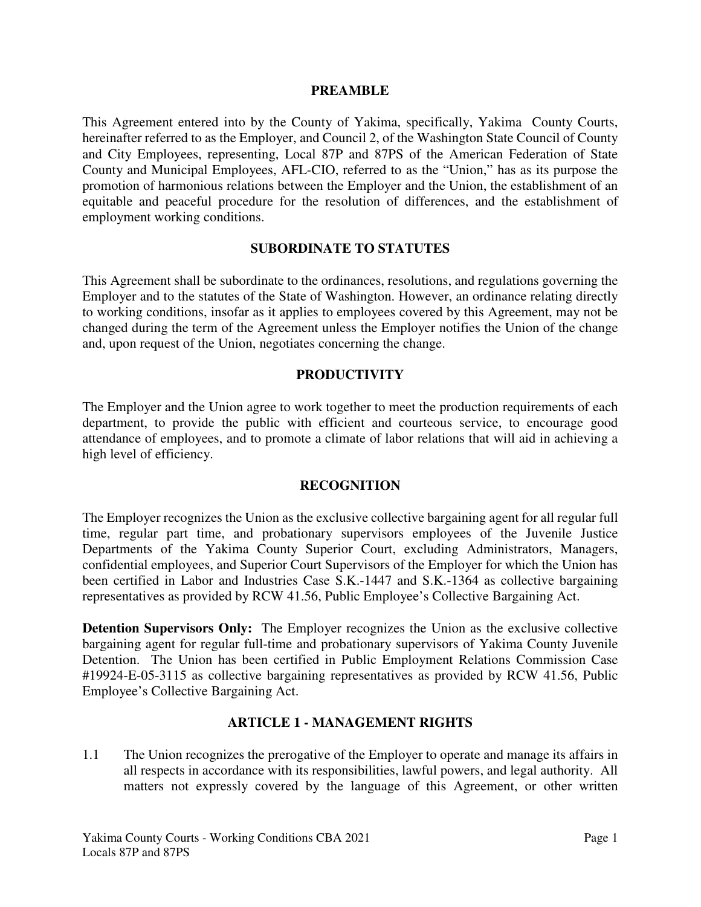#### **PREAMBLE**

This Agreement entered into by the County of Yakima, specifically, Yakima County Courts, hereinafter referred to as the Employer, and Council 2, of the Washington State Council of County and City Employees, representing, Local 87P and 87PS of the American Federation of State County and Municipal Employees, AFL-CIO, referred to as the "Union," has as its purpose the promotion of harmonious relations between the Employer and the Union, the establishment of an equitable and peaceful procedure for the resolution of differences, and the establishment of employment working conditions.

#### **SUBORDINATE TO STATUTES**

This Agreement shall be subordinate to the ordinances, resolutions, and regulations governing the Employer and to the statutes of the State of Washington. However, an ordinance relating directly to working conditions, insofar as it applies to employees covered by this Agreement, may not be changed during the term of the Agreement unless the Employer notifies the Union of the change and, upon request of the Union, negotiates concerning the change.

#### **PRODUCTIVITY**

The Employer and the Union agree to work together to meet the production requirements of each department, to provide the public with efficient and courteous service, to encourage good attendance of employees, and to promote a climate of labor relations that will aid in achieving a high level of efficiency.

#### **RECOGNITION**

The Employer recognizes the Union as the exclusive collective bargaining agent for all regular full time, regular part time, and probationary supervisors employees of the Juvenile Justice Departments of the Yakima County Superior Court, excluding Administrators, Managers, confidential employees, and Superior Court Supervisors of the Employer for which the Union has been certified in Labor and Industries Case S.K.-1447 and S.K.-1364 as collective bargaining representatives as provided by RCW 41.56, Public Employee's Collective Bargaining Act.

**Detention Supervisors Only:** The Employer recognizes the Union as the exclusive collective bargaining agent for regular full-time and probationary supervisors of Yakima County Juvenile Detention. The Union has been certified in Public Employment Relations Commission Case #19924-E-05-3115 as collective bargaining representatives as provided by RCW 41.56, Public Employee's Collective Bargaining Act.

#### **ARTICLE 1 - MANAGEMENT RIGHTS**

1.1 The Union recognizes the prerogative of the Employer to operate and manage its affairs in all respects in accordance with its responsibilities, lawful powers, and legal authority. All matters not expressly covered by the language of this Agreement, or other written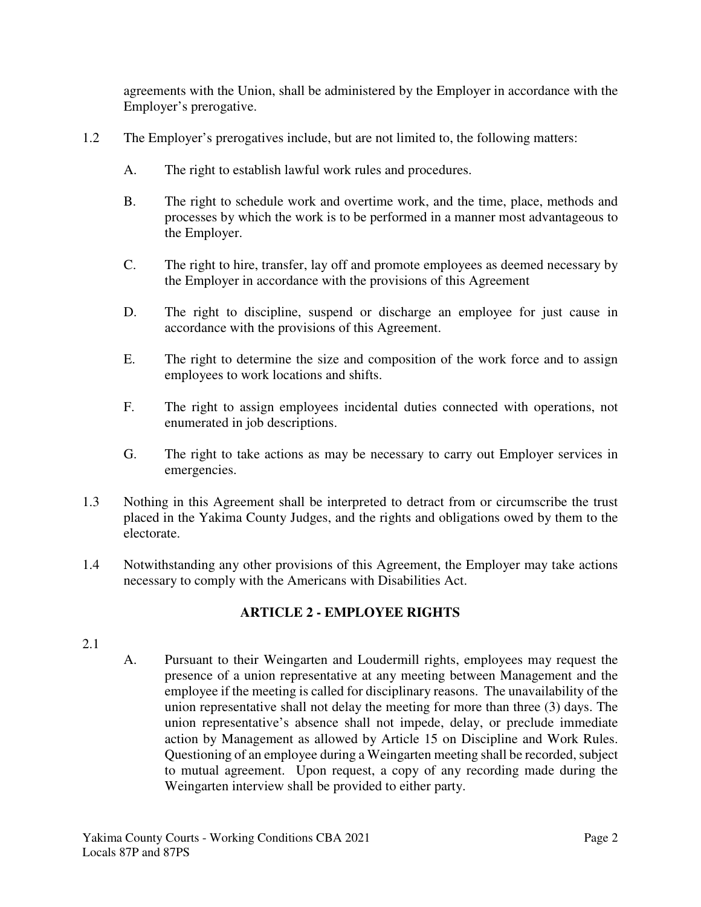agreements with the Union, shall be administered by the Employer in accordance with the Employer's prerogative.

- 1.2 The Employer's prerogatives include, but are not limited to, the following matters:
	- A. The right to establish lawful work rules and procedures.
	- B. The right to schedule work and overtime work, and the time, place, methods and processes by which the work is to be performed in a manner most advantageous to the Employer.
	- C. The right to hire, transfer, lay off and promote employees as deemed necessary by the Employer in accordance with the provisions of this Agreement
	- D. The right to discipline, suspend or discharge an employee for just cause in accordance with the provisions of this Agreement.
	- E. The right to determine the size and composition of the work force and to assign employees to work locations and shifts.
	- F. The right to assign employees incidental duties connected with operations, not enumerated in job descriptions.
	- G. The right to take actions as may be necessary to carry out Employer services in emergencies.
- 1.3 Nothing in this Agreement shall be interpreted to detract from or circumscribe the trust placed in the Yakima County Judges, and the rights and obligations owed by them to the electorate.
- 1.4 Notwithstanding any other provisions of this Agreement, the Employer may take actions necessary to comply with the Americans with Disabilities Act.

# **ARTICLE 2 - EMPLOYEE RIGHTS**

### 2.1

A. Pursuant to their Weingarten and Loudermill rights, employees may request the presence of a union representative at any meeting between Management and the employee if the meeting is called for disciplinary reasons. The unavailability of the union representative shall not delay the meeting for more than three (3) days. The union representative's absence shall not impede, delay, or preclude immediate action by Management as allowed by Article 15 on Discipline and Work Rules. Questioning of an employee during a Weingarten meeting shall be recorded, subject to mutual agreement. Upon request, a copy of any recording made during the Weingarten interview shall be provided to either party.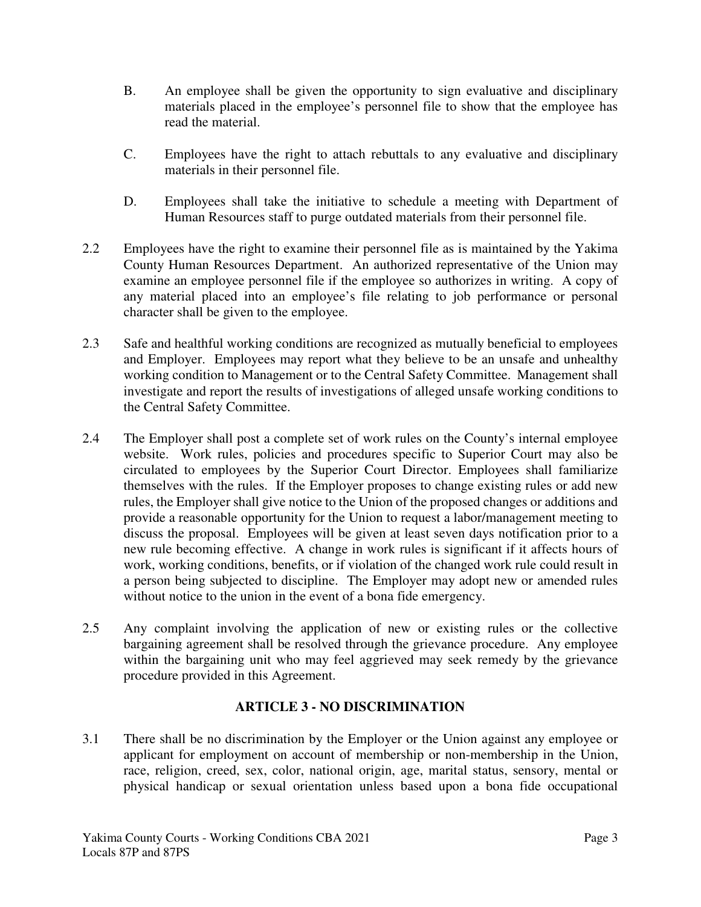- B. An employee shall be given the opportunity to sign evaluative and disciplinary materials placed in the employee's personnel file to show that the employee has read the material.
- C. Employees have the right to attach rebuttals to any evaluative and disciplinary materials in their personnel file.
- D. Employees shall take the initiative to schedule a meeting with Department of Human Resources staff to purge outdated materials from their personnel file.
- 2.2 Employees have the right to examine their personnel file as is maintained by the Yakima County Human Resources Department. An authorized representative of the Union may examine an employee personnel file if the employee so authorizes in writing. A copy of any material placed into an employee's file relating to job performance or personal character shall be given to the employee.
- 2.3 Safe and healthful working conditions are recognized as mutually beneficial to employees and Employer. Employees may report what they believe to be an unsafe and unhealthy working condition to Management or to the Central Safety Committee. Management shall investigate and report the results of investigations of alleged unsafe working conditions to the Central Safety Committee.
- 2.4 The Employer shall post a complete set of work rules on the County's internal employee website. Work rules, policies and procedures specific to Superior Court may also be circulated to employees by the Superior Court Director. Employees shall familiarize themselves with the rules. If the Employer proposes to change existing rules or add new rules, the Employer shall give notice to the Union of the proposed changes or additions and provide a reasonable opportunity for the Union to request a labor/management meeting to discuss the proposal. Employees will be given at least seven days notification prior to a new rule becoming effective. A change in work rules is significant if it affects hours of work, working conditions, benefits, or if violation of the changed work rule could result in a person being subjected to discipline. The Employer may adopt new or amended rules without notice to the union in the event of a bona fide emergency.
- 2.5 Any complaint involving the application of new or existing rules or the collective bargaining agreement shall be resolved through the grievance procedure. Any employee within the bargaining unit who may feel aggrieved may seek remedy by the grievance procedure provided in this Agreement.

# **ARTICLE 3 - NO DISCRIMINATION**

3.1 There shall be no discrimination by the Employer or the Union against any employee or applicant for employment on account of membership or non-membership in the Union, race, religion, creed, sex, color, national origin, age, marital status, sensory, mental or physical handicap or sexual orientation unless based upon a bona fide occupational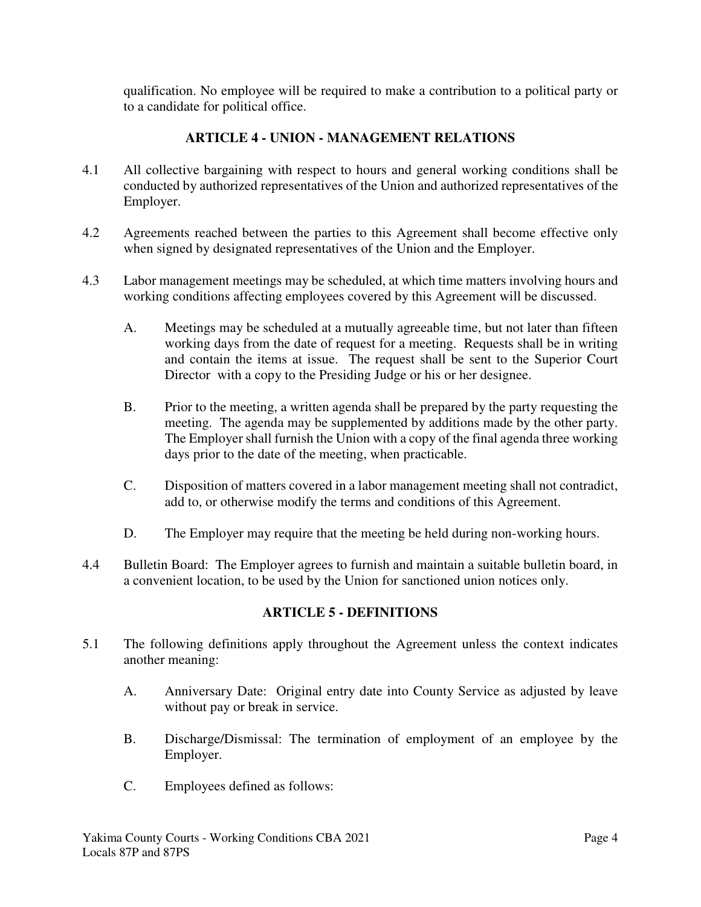qualification. No employee will be required to make a contribution to a political party or to a candidate for political office.

# **ARTICLE 4 - UNION - MANAGEMENT RELATIONS**

- 4.1 All collective bargaining with respect to hours and general working conditions shall be conducted by authorized representatives of the Union and authorized representatives of the Employer.
- 4.2 Agreements reached between the parties to this Agreement shall become effective only when signed by designated representatives of the Union and the Employer.
- 4.3 Labor management meetings may be scheduled, at which time matters involving hours and working conditions affecting employees covered by this Agreement will be discussed.
	- A. Meetings may be scheduled at a mutually agreeable time, but not later than fifteen working days from the date of request for a meeting. Requests shall be in writing and contain the items at issue. The request shall be sent to the Superior Court Director with a copy to the Presiding Judge or his or her designee.
	- B. Prior to the meeting, a written agenda shall be prepared by the party requesting the meeting. The agenda may be supplemented by additions made by the other party. The Employer shall furnish the Union with a copy of the final agenda three working days prior to the date of the meeting, when practicable.
	- C. Disposition of matters covered in a labor management meeting shall not contradict, add to, or otherwise modify the terms and conditions of this Agreement.
	- D. The Employer may require that the meeting be held during non-working hours.
- 4.4 Bulletin Board: The Employer agrees to furnish and maintain a suitable bulletin board, in a convenient location, to be used by the Union for sanctioned union notices only.

# **ARTICLE 5 - DEFINITIONS**

- 5.1 The following definitions apply throughout the Agreement unless the context indicates another meaning:
	- A. Anniversary Date: Original entry date into County Service as adjusted by leave without pay or break in service.
	- B. Discharge/Dismissal: The termination of employment of an employee by the Employer.
	- C. Employees defined as follows: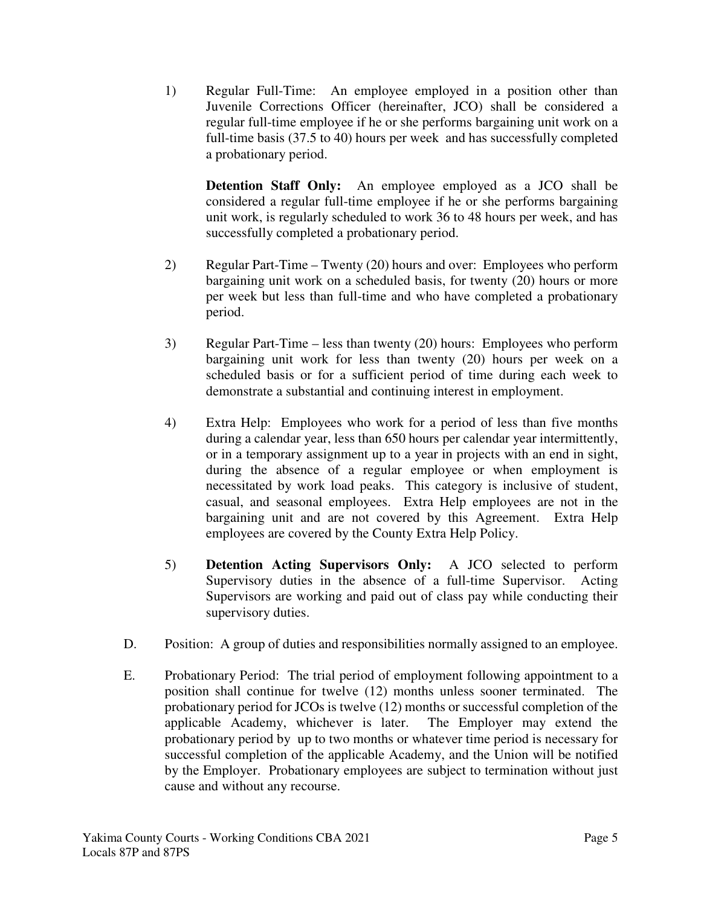1) Regular Full-Time: An employee employed in a position other than Juvenile Corrections Officer (hereinafter, JCO) shall be considered a regular full-time employee if he or she performs bargaining unit work on a full-time basis (37.5 to 40) hours per week and has successfully completed a probationary period.

**Detention Staff Only:** An employee employed as a JCO shall be considered a regular full-time employee if he or she performs bargaining unit work, is regularly scheduled to work 36 to 48 hours per week, and has successfully completed a probationary period.

- 2) Regular Part-Time Twenty (20) hours and over: Employees who perform bargaining unit work on a scheduled basis, for twenty (20) hours or more per week but less than full-time and who have completed a probationary period.
- 3) Regular Part-Time less than twenty (20) hours: Employees who perform bargaining unit work for less than twenty (20) hours per week on a scheduled basis or for a sufficient period of time during each week to demonstrate a substantial and continuing interest in employment.
- 4) Extra Help: Employees who work for a period of less than five months during a calendar year, less than 650 hours per calendar year intermittently, or in a temporary assignment up to a year in projects with an end in sight, during the absence of a regular employee or when employment is necessitated by work load peaks. This category is inclusive of student, casual, and seasonal employees. Extra Help employees are not in the bargaining unit and are not covered by this Agreement. Extra Help employees are covered by the County Extra Help Policy.
- 5) **Detention Acting Supervisors Only:** A JCO selected to perform Supervisory duties in the absence of a full-time Supervisor. Acting Supervisors are working and paid out of class pay while conducting their supervisory duties.
- D. Position: A group of duties and responsibilities normally assigned to an employee.
- E. Probationary Period: The trial period of employment following appointment to a position shall continue for twelve (12) months unless sooner terminated. The probationary period for JCOs is twelve (12) months or successful completion of the applicable Academy, whichever is later. The Employer may extend the probationary period by up to two months or whatever time period is necessary for successful completion of the applicable Academy, and the Union will be notified by the Employer. Probationary employees are subject to termination without just cause and without any recourse.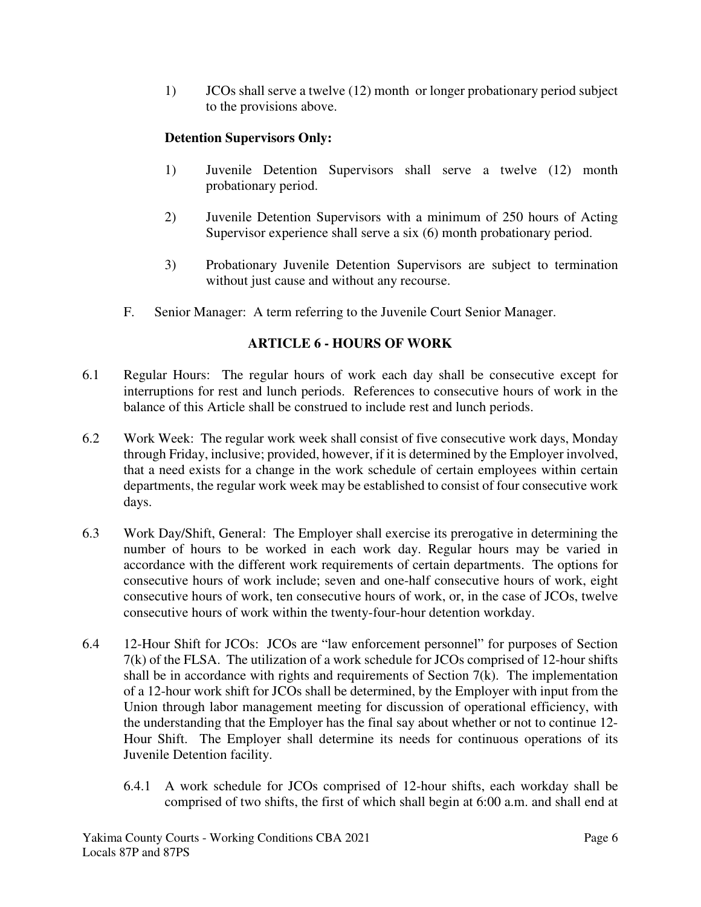1) JCOs shall serve a twelve (12) month or longer probationary period subject to the provisions above.

# **Detention Supervisors Only:**

- 1) Juvenile Detention Supervisors shall serve a twelve (12) month probationary period.
- 2) Juvenile Detention Supervisors with a minimum of 250 hours of Acting Supervisor experience shall serve a six (6) month probationary period.
- 3) Probationary Juvenile Detention Supervisors are subject to termination without just cause and without any recourse.
- F. Senior Manager: A term referring to the Juvenile Court Senior Manager.

# **ARTICLE 6 - HOURS OF WORK**

- 6.1 Regular Hours: The regular hours of work each day shall be consecutive except for interruptions for rest and lunch periods. References to consecutive hours of work in the balance of this Article shall be construed to include rest and lunch periods.
- 6.2 Work Week: The regular work week shall consist of five consecutive work days, Monday through Friday, inclusive; provided, however, if it is determined by the Employer involved, that a need exists for a change in the work schedule of certain employees within certain departments, the regular work week may be established to consist of four consecutive work days.
- 6.3 Work Day/Shift, General: The Employer shall exercise its prerogative in determining the number of hours to be worked in each work day. Regular hours may be varied in accordance with the different work requirements of certain departments. The options for consecutive hours of work include; seven and one-half consecutive hours of work, eight consecutive hours of work, ten consecutive hours of work, or, in the case of JCOs, twelve consecutive hours of work within the twenty-four-hour detention workday.
- 6.4 12-Hour Shift for JCOs: JCOs are "law enforcement personnel" for purposes of Section 7(k) of the FLSA. The utilization of a work schedule for JCOs comprised of 12-hour shifts shall be in accordance with rights and requirements of Section 7(k). The implementation of a 12-hour work shift for JCOs shall be determined, by the Employer with input from the Union through labor management meeting for discussion of operational efficiency, with the understanding that the Employer has the final say about whether or not to continue 12- Hour Shift. The Employer shall determine its needs for continuous operations of its Juvenile Detention facility.
	- 6.4.1 A work schedule for JCOs comprised of 12-hour shifts, each workday shall be comprised of two shifts, the first of which shall begin at 6:00 a.m. and shall end at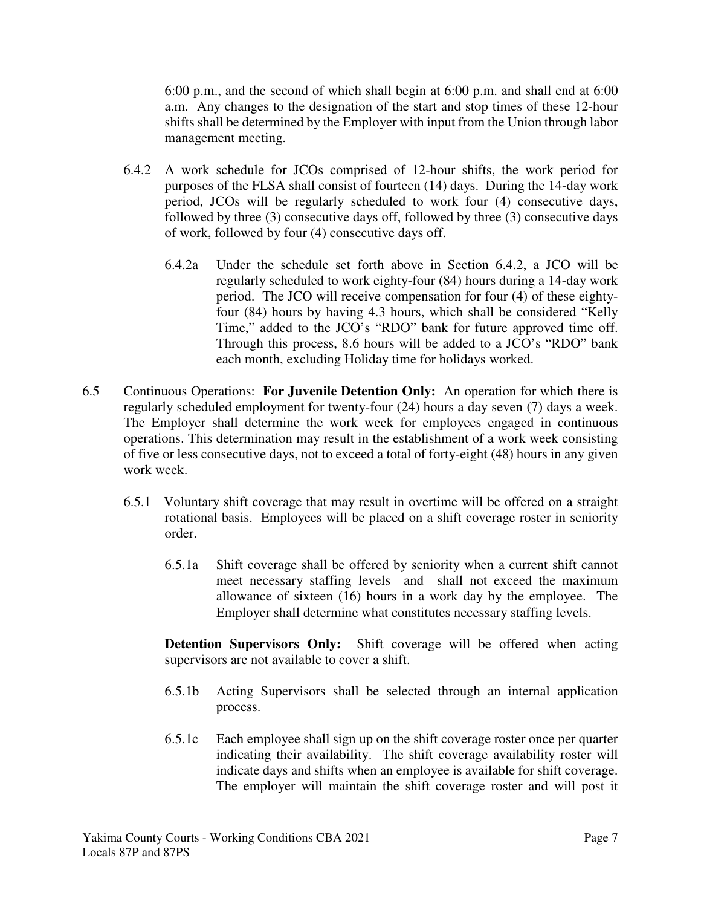6:00 p.m., and the second of which shall begin at 6:00 p.m. and shall end at 6:00 a.m. Any changes to the designation of the start and stop times of these 12-hour shifts shall be determined by the Employer with input from the Union through labor management meeting.

- 6.4.2 A work schedule for JCOs comprised of 12-hour shifts, the work period for purposes of the FLSA shall consist of fourteen (14) days. During the 14-day work period, JCOs will be regularly scheduled to work four (4) consecutive days, followed by three (3) consecutive days off, followed by three (3) consecutive days of work, followed by four (4) consecutive days off.
	- 6.4.2a Under the schedule set forth above in Section 6.4.2, a JCO will be regularly scheduled to work eighty-four (84) hours during a 14-day work period. The JCO will receive compensation for four (4) of these eightyfour (84) hours by having 4.3 hours, which shall be considered "Kelly Time," added to the JCO's "RDO" bank for future approved time off. Through this process, 8.6 hours will be added to a JCO's "RDO" bank each month, excluding Holiday time for holidays worked.
- 6.5 Continuous Operations: **For Juvenile Detention Only:** An operation for which there is regularly scheduled employment for twenty-four (24) hours a day seven (7) days a week. The Employer shall determine the work week for employees engaged in continuous operations. This determination may result in the establishment of a work week consisting of five or less consecutive days, not to exceed a total of forty-eight (48) hours in any given work week.
	- 6.5.1 Voluntary shift coverage that may result in overtime will be offered on a straight rotational basis. Employees will be placed on a shift coverage roster in seniority order.
		- 6.5.1a Shift coverage shall be offered by seniority when a current shift cannot meet necessary staffing levels and shall not exceed the maximum allowance of sixteen (16) hours in a work day by the employee. The Employer shall determine what constitutes necessary staffing levels.

**Detention Supervisors Only:** Shift coverage will be offered when acting supervisors are not available to cover a shift.

- 6.5.1b Acting Supervisors shall be selected through an internal application process.
- 6.5.1c Each employee shall sign up on the shift coverage roster once per quarter indicating their availability. The shift coverage availability roster will indicate days and shifts when an employee is available for shift coverage. The employer will maintain the shift coverage roster and will post it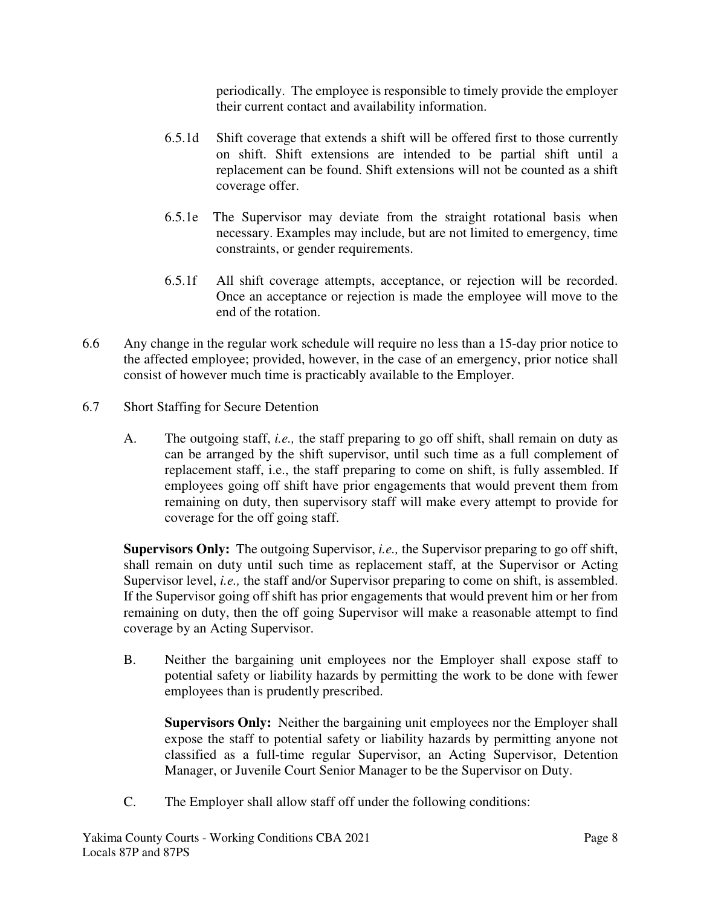periodically. The employee is responsible to timely provide the employer their current contact and availability information.

- 6.5.1d Shift coverage that extends a shift will be offered first to those currently on shift. Shift extensions are intended to be partial shift until a replacement can be found. Shift extensions will not be counted as a shift coverage offer.
- 6.5.1e The Supervisor may deviate from the straight rotational basis when necessary. Examples may include, but are not limited to emergency, time constraints, or gender requirements.
- 6.5.1f All shift coverage attempts, acceptance, or rejection will be recorded. Once an acceptance or rejection is made the employee will move to the end of the rotation.
- 6.6 Any change in the regular work schedule will require no less than a 15-day prior notice to the affected employee; provided, however, in the case of an emergency, prior notice shall consist of however much time is practicably available to the Employer.
- 6.7 Short Staffing for Secure Detention
	- A. The outgoing staff, *i.e.,* the staff preparing to go off shift, shall remain on duty as can be arranged by the shift supervisor, until such time as a full complement of replacement staff, i.e., the staff preparing to come on shift, is fully assembled. If employees going off shift have prior engagements that would prevent them from remaining on duty, then supervisory staff will make every attempt to provide for coverage for the off going staff.

**Supervisors Only:** The outgoing Supervisor, *i.e.,* the Supervisor preparing to go off shift, shall remain on duty until such time as replacement staff, at the Supervisor or Acting Supervisor level, *i.e.*, the staff and/or Supervisor preparing to come on shift, is assembled. If the Supervisor going off shift has prior engagements that would prevent him or her from remaining on duty, then the off going Supervisor will make a reasonable attempt to find coverage by an Acting Supervisor.

B. Neither the bargaining unit employees nor the Employer shall expose staff to potential safety or liability hazards by permitting the work to be done with fewer employees than is prudently prescribed.

**Supervisors Only:** Neither the bargaining unit employees nor the Employer shall expose the staff to potential safety or liability hazards by permitting anyone not classified as a full-time regular Supervisor, an Acting Supervisor, Detention Manager, or Juvenile Court Senior Manager to be the Supervisor on Duty.

C. The Employer shall allow staff off under the following conditions: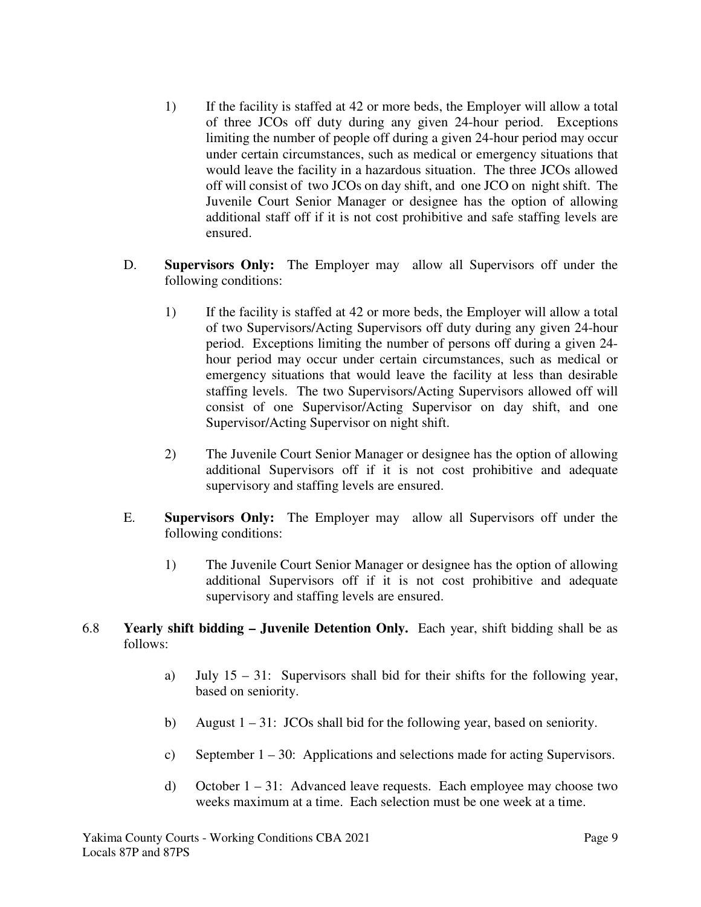- 1) If the facility is staffed at 42 or more beds, the Employer will allow a total of three JCOs off duty during any given 24-hour period. Exceptions limiting the number of people off during a given 24-hour period may occur under certain circumstances, such as medical or emergency situations that would leave the facility in a hazardous situation. The three JCOs allowed off will consist of two JCOs on day shift, and one JCO on night shift. The Juvenile Court Senior Manager or designee has the option of allowing additional staff off if it is not cost prohibitive and safe staffing levels are ensured.
- D. **Supervisors Only:** The Employer may allow all Supervisors off under the following conditions:
	- 1) If the facility is staffed at 42 or more beds, the Employer will allow a total of two Supervisors/Acting Supervisors off duty during any given 24-hour period. Exceptions limiting the number of persons off during a given 24 hour period may occur under certain circumstances, such as medical or emergency situations that would leave the facility at less than desirable staffing levels. The two Supervisors/Acting Supervisors allowed off will consist of one Supervisor/Acting Supervisor on day shift, and one Supervisor/Acting Supervisor on night shift.
	- 2) The Juvenile Court Senior Manager or designee has the option of allowing additional Supervisors off if it is not cost prohibitive and adequate supervisory and staffing levels are ensured.
- E. **Supervisors Only:** The Employer may allow all Supervisors off under the following conditions:
	- 1) The Juvenile Court Senior Manager or designee has the option of allowing additional Supervisors off if it is not cost prohibitive and adequate supervisory and staffing levels are ensured.
- 6.8 **Yearly shift bidding Juvenile Detention Only.** Each year, shift bidding shall be as follows:
	- a) July  $15 31$ : Supervisors shall bid for their shifts for the following year, based on seniority.
	- b) August  $1 31$ : JCOs shall bid for the following year, based on seniority.
	- c) September 1 30: Applications and selections made for acting Supervisors.
	- d) October  $1 31$ : Advanced leave requests. Each employee may choose two weeks maximum at a time. Each selection must be one week at a time.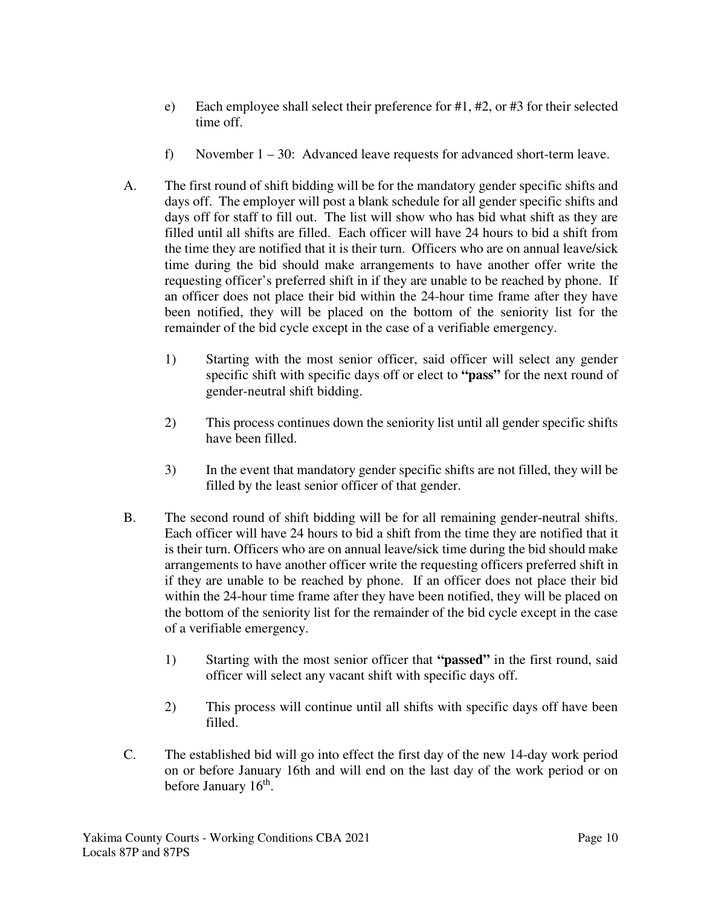- e) Each employee shall select their preference for #1, #2, or #3 for their selected time off.
- f) November  $1 30$ : Advanced leave requests for advanced short-term leave.
- A. The first round of shift bidding will be for the mandatory gender specific shifts and days off. The employer will post a blank schedule for all gender specific shifts and days off for staff to fill out. The list will show who has bid what shift as they are filled until all shifts are filled. Each officer will have 24 hours to bid a shift from the time they are notified that it is their turn. Officers who are on annual leave/sick time during the bid should make arrangements to have another offer write the requesting officer's preferred shift in if they are unable to be reached by phone. If an officer does not place their bid within the 24-hour time frame after they have been notified, they will be placed on the bottom of the seniority list for the remainder of the bid cycle except in the case of a verifiable emergency.
	- 1) Starting with the most senior officer, said officer will select any gender specific shift with specific days off or elect to **"pass"** for the next round of gender-neutral shift bidding.
	- 2) This process continues down the seniority list until all gender specific shifts have been filled.
	- 3) In the event that mandatory gender specific shifts are not filled, they will be filled by the least senior officer of that gender.
- B. The second round of shift bidding will be for all remaining gender-neutral shifts. Each officer will have 24 hours to bid a shift from the time they are notified that it is their turn. Officers who are on annual leave/sick time during the bid should make arrangements to have another officer write the requesting officers preferred shift in if they are unable to be reached by phone. If an officer does not place their bid within the 24-hour time frame after they have been notified, they will be placed on the bottom of the seniority list for the remainder of the bid cycle except in the case of a verifiable emergency.
	- 1) Starting with the most senior officer that **"passed"** in the first round, said officer will select any vacant shift with specific days off.
	- 2) This process will continue until all shifts with specific days off have been filled.
- C. The established bid will go into effect the first day of the new 14-day work period on or before January 16th and will end on the last day of the work period or on before January 16<sup>th</sup>.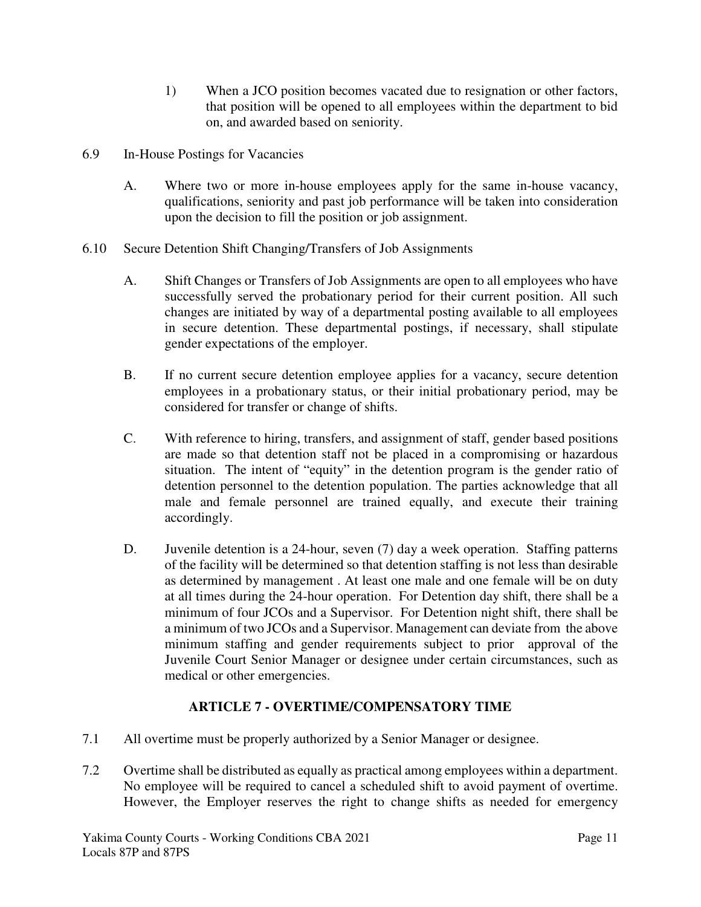- 1) When a JCO position becomes vacated due to resignation or other factors, that position will be opened to all employees within the department to bid on, and awarded based on seniority.
- 6.9 In-House Postings for Vacancies
	- A. Where two or more in-house employees apply for the same in-house vacancy, qualifications, seniority and past job performance will be taken into consideration upon the decision to fill the position or job assignment.
- 6.10 Secure Detention Shift Changing/Transfers of Job Assignments
	- A. Shift Changes or Transfers of Job Assignments are open to all employees who have successfully served the probationary period for their current position. All such changes are initiated by way of a departmental posting available to all employees in secure detention. These departmental postings, if necessary, shall stipulate gender expectations of the employer.
	- B. If no current secure detention employee applies for a vacancy, secure detention employees in a probationary status, or their initial probationary period, may be considered for transfer or change of shifts.
	- C. With reference to hiring, transfers, and assignment of staff, gender based positions are made so that detention staff not be placed in a compromising or hazardous situation. The intent of "equity" in the detention program is the gender ratio of detention personnel to the detention population. The parties acknowledge that all male and female personnel are trained equally, and execute their training accordingly.
	- D. Juven ile detention is a 24-hour, seven (7) day a week operation. Staffing patterns of the facility will be determined so that detention staffing is not less than desirable as determined by management . At least one male and one female will be on duty at all times during the 24-hour operation. For Detention day shift, there shall be a minimum of four JCOs and a Supervisor. For Detention night shift, there shall be a minimum of two JCOs and a Supervisor. Management can deviate from the above minimum staffing and gender requirements subject to prior approval of the Juvenile Court Senior Manager or designee under certain circumstances, such as medical or other emergencies.

# **ARTICLE 7 - OVERTIME/COMPENSATORY TIME**

- 7.1 All overtime must be properly authorized by a Senior Manager or designee.
- 7.2 Overtime shall be distributed as equally as practical among employees within a department. No employee will be required to cancel a scheduled shift to avoid payment of overtime. However, the Employer reserves the right to change shifts as needed for emergency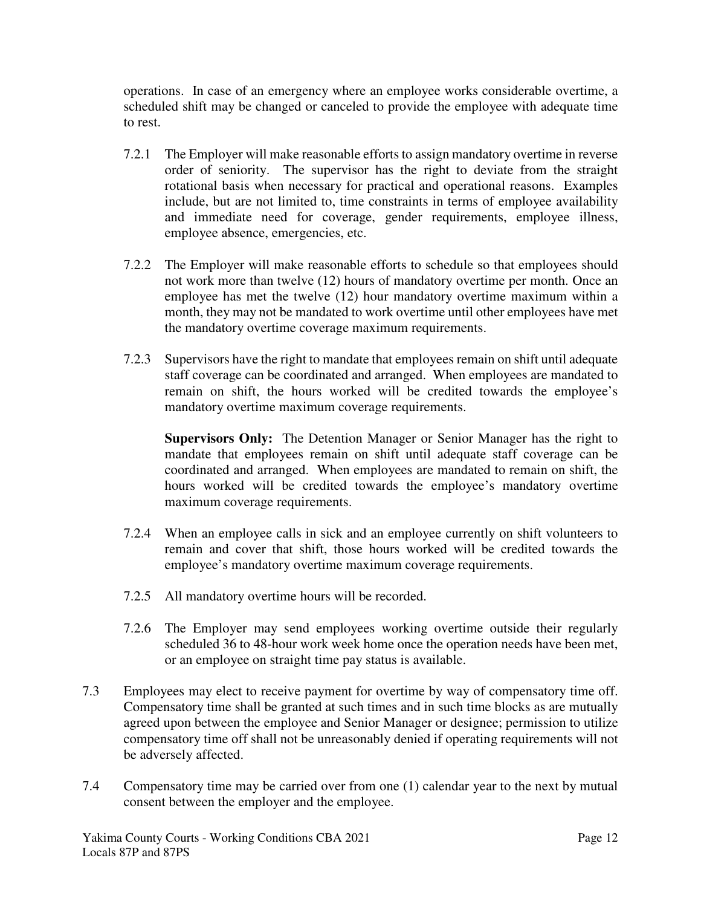operations. In case of an emergency where an employee works considerable overtime, a scheduled shift may be changed or canceled to provide the employee with adequate time to rest.

- 7.2.1 The Employer will make reasonable efforts to assign mandatory overtime in reverse order of seniority. The supervisor has the right to deviate from the straight rotational basis when necessary for practical and operational reasons. Examples include, but are not limited to, time constraints in terms of employee availability and immediate need for coverage, gender requirements, employee illness, employee absence, emergencies, etc.
- 7.2.2 The Employer will make reasonable efforts to schedule so that employees should not work more than twelve (12) hours of mandatory overtime per month. Once an employee has met the twelve (12) hour mandatory overtime maximum within a month, they may not be mandated to work overtime until other employees have met the mandatory overtime coverage maximum requirements.
- 7.2.3 Supervisors have the right to mandate that employees remain on shift until adequate staff coverage can be coordinated and arranged. When employees are mandated to remain on shift, the hours worked will be credited towards the employee's mandatory overtime maximum coverage requirements.

**Supervisors Only:** The Detention Manager or Senior Manager has the right to mandate that employees remain on shift until adequate staff coverage can be coordinated and arranged. When employees are mandated to remain on shift, the hours worked will be credited towards the employee's mandatory overtime maximum coverage requirements.

- 7.2.4 When an employee calls in sick and an employee currently on shift volunteers to remain and cover that shift, those hours worked will be credited towards the employee's mandatory overtime maximum coverage requirements.
- 7.2.5 All mandatory overtime hours will be recorded.
- 7.2.6 The Employer may send employees working overtime outside their regularly scheduled 36 to 48-hour work week home once the operation needs have been met, or an employee on straight time pay status is available.
- 7.3 Employees may elect to receive payment for overtime by way of compensatory time off. Compensatory time shall be granted at such times and in such time blocks as are mutually agreed upon between the employee and Senior Manager or designee; permission to utilize compensatory time off shall not be unreasonably denied if operating requirements will not be adversely affected.
- 7.4 Compensatory time may be carried over from one (1) calendar year to the next by mutual consent between the employer and the employee.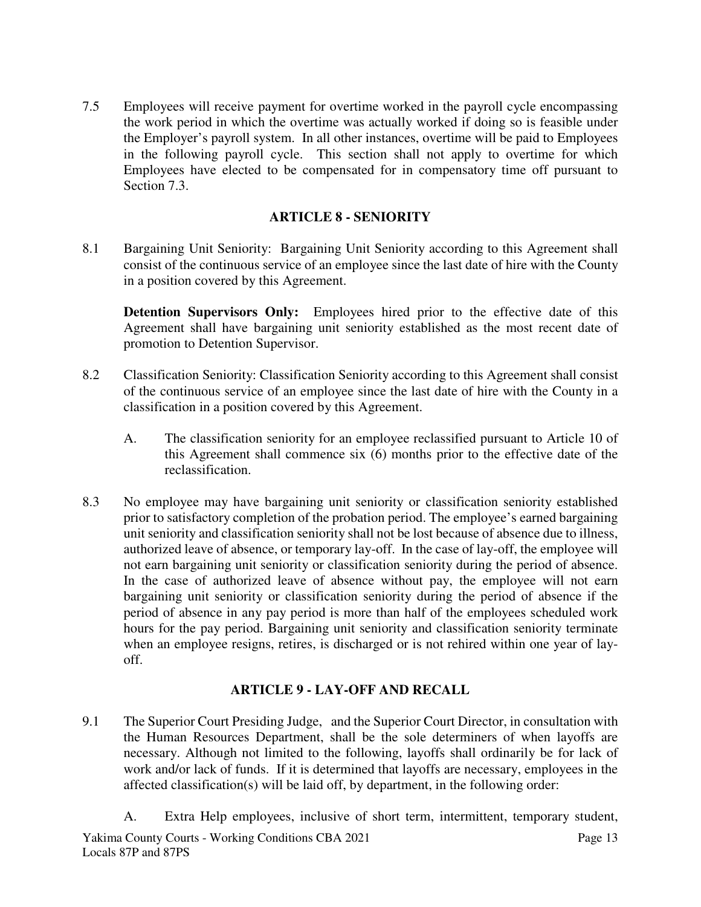7.5 Employees will receive payment for overtime worked in the payroll cycle encompassing the work period in which the overtime was actually worked if doing so is feasible under the Employer's payroll system. In all other instances, overtime will be paid to Employees in the following payroll cycle. This section shall not apply to overtime for which Employees have elected to be compensated for in compensatory time off pursuant to Section 7.3.

# **ARTICLE 8 - SENIORITY**

8.1 Bargaining Unit Seniority: Bargaining Unit Seniority according to this Agreement shall consist of the continuous service of an employee since the last date of hire with the County in a position covered by this Agreement.

**Detention Supervisors Only:** Employees hired prior to the effective date of this Agreement shall have bargaining unit seniority established as the most recent date of promotion to Detention Supervisor.

- 8.2 Classification Seniority: Classification Seniority according to this Agreement shall consist of the continuous service of an employee since the last date of hire with the County in a classification in a position covered by this Agreement.
	- A. The classification seniority for an employee reclassified pursuant to Article 10 of this Agreement shall commence six (6) months prior to the effective date of the reclassification.
- 8.3 No employee may have bargaining unit seniority or classification seniority established prior to satisfactory completion of the probation period. The employee's earned bargaining unit seniority and classification seniority shall not be lost because of absence due to illness, authorized leave of absence, or temporary lay-off. In the case of lay-off, the employee will not earn bargaining unit seniority or classification seniority during the period of absence. In the case of authorized leave of absence without pay, the employee will not earn bargaining unit seniority or classification seniority during the period of absence if the period of absence in any pay period is more than half of the employees scheduled work hours for the pay period. Bargaining unit seniority and classification seniority terminate when an employee resigns, retires, is discharged or is not rehired within one year of layoff.

# **ARTICLE 9 - LAY-OFF AND RECALL**

- 9.1 The Superior Court Presiding Judge, and the Superior Court Director, in consultation with the Human Resources Department, shall be the sole determiners of when layoffs are necessary. Although not limited to the following, layoffs shall ordinarily be for lack of work and/or lack of funds. If it is determined that layoffs are necessary, employees in the affected classification(s) will be laid off, by department, in the following order:
	- A. Extra Help employees, inclusive of short term, intermittent, temporary student,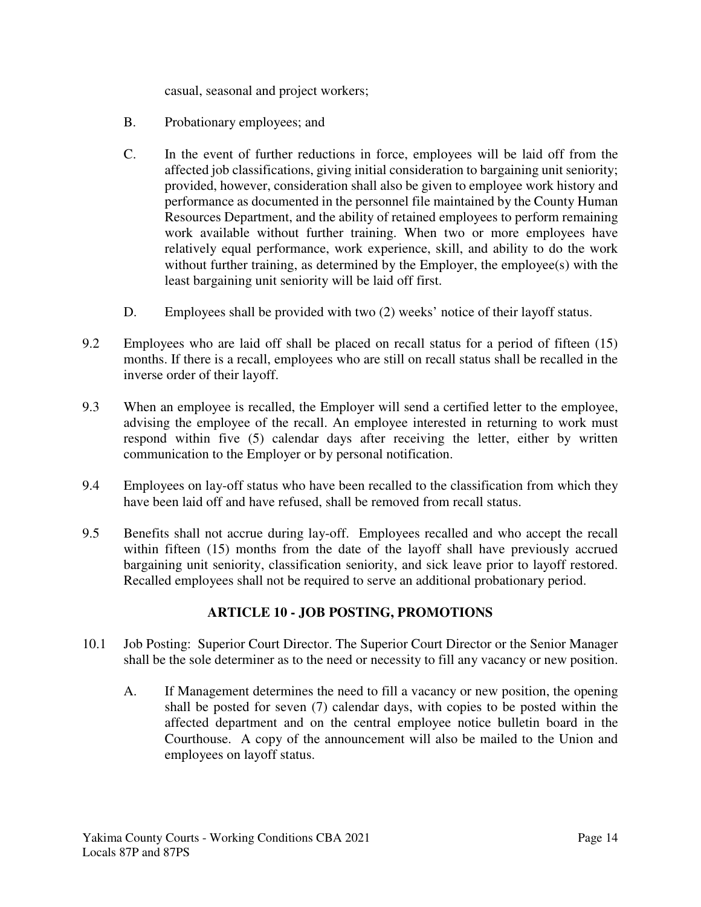casual, seasonal and project workers;

- B. Probationary employees; and
- C. In the event of further reductions in force, employees will be laid off from the affected job classifications, giving initial consideration to bargaining unit seniority; provided, however, consideration shall also be given to employee work history and performance as documented in the personnel file maintained by the County Human Resources Department, and the ability of retained employees to perform remaining work available without further training. When two or more employees have relatively equal performance, work experience, skill, and ability to do the work without further training, as determined by the Employer, the employee(s) with the least bargaining unit seniority will be laid off first.
- D. Employees shall be provided with two (2) weeks' notice of their layoff status.
- 9.2 Employees who are laid off shall be placed on recall status for a period of fifteen (15) months. If there is a recall, employees who are still on recall status shall be recalled in the inverse order of their layoff.
- 9.3 When an employee is recalled, the Employer will send a certified letter to the employee, advising the employee of the recall. An employee interested in returning to work must respond within five (5) calendar days after receiving the letter, either by written communication to the Employer or by personal notification.
- 9.4 Employees on lay-off status who have been recalled to the classification from which they have been laid off and have refused, shall be removed from recall status.
- 9.5 Benefits shall not accrue during lay-off. Employees recalled and who accept the recall within fifteen (15) months from the date of the layoff shall have previously accrued bargaining unit seniority, classification seniority, and sick leave prior to layoff restored. Recalled employees shall not be required to serve an additional probationary period.

# **ARTICLE 10 - JOB POSTING, PROMOTIONS**

- 10.1 Job Posting: Superior Court Director. The Superior Court Director or the Senior Manager shall be the sole determiner as to the need or necessity to fill any vacancy or new position.
	- A. If Management determines the need to fill a vacancy or new position, the opening shall be posted for seven (7) calendar days, with copies to be posted within the affected department and on the central employee notice bulletin board in the Courthouse. A copy of the announcement will also be mailed to the Union and employees on layoff status.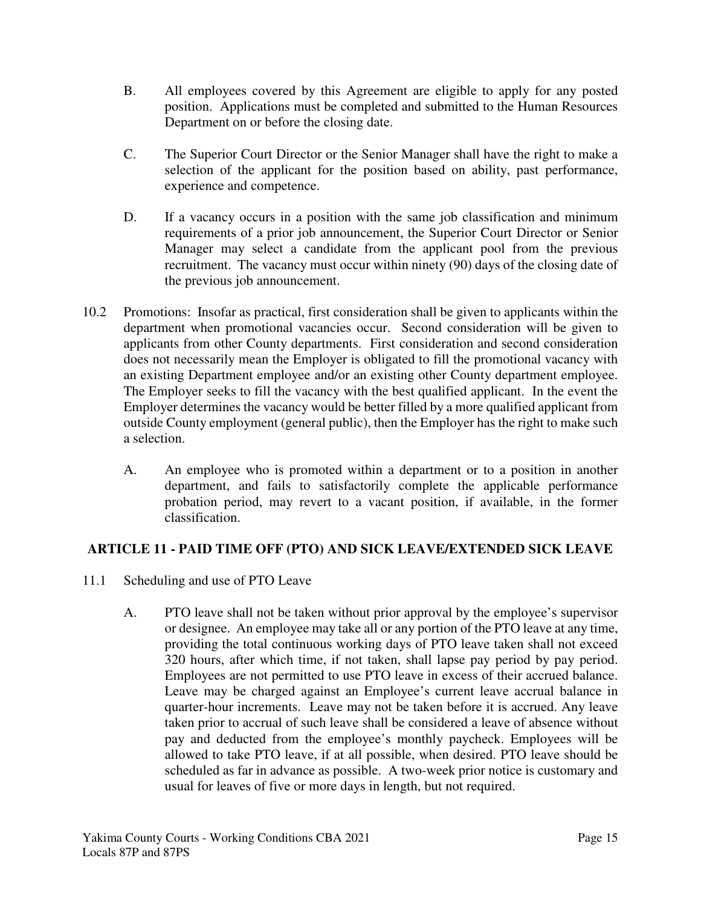- B. All employees covered by this Agreement are eligible to apply for any posted position. Applications must be completed and submitted to the Human Resources Department on or before the closing date.
- C. The Superior Court Director or the Senior Manager shall have the right to make a selection of the applicant for the position based on ability, past performance, experience and competence.
- D. If a vacancy occurs in a position with the same job classification and minimum requirements of a prior job announcement, the Superior Court Director or Senior Manager may select a candidate from the applicant pool from the previous recruitment. The vacancy must occur within ninety (90) days of the closing date of the previous job announcement.
- 10.2 Promotions: Insofar as practical, first consideration shall be given to applicants within the department when promotional vacancies occur. Second consideration will be given to applicants from other County departments. First consideration and second consideration does not necessarily mean the Employer is obligated to fill the promotional vacancy with an existing Department employee and/or an existing other County department employee. The Employer seeks to fill the vacancy with the best qualified applicant. In the event the Employer determines the vacancy would be better filled by a more qualified applicant from outside County employment (general public), then the Employer has the right to make such a selection.
	- A. An employee who is promoted within a department or to a position in another department, and fails to satisfactorily complete the applicable performance probation period, may revert to a vacant position, if available, in the former classification.

# **ARTICLE 11 - PAID TIME OFF (PTO) AND SICK LEAVE/EXTENDED SICK LEAVE**

- 11.1 Scheduling and use of PTO Leave
	- A. PTO leave shall not be taken without prior approval by the employee's supervisor or designee. An employee may take all or any portion of the PTO leave at any time, providing the total continuous working days of PTO leave taken shall not exceed 320 hours, after which time, if not taken, shall lapse pay period by pay period. Employees are not permitted to use PTO leave in excess of their accrued balance. Leave may be charged against an Employee's current leave accrual balance in quarter-hour increments. Leave may not be taken before it is accrued. Any leave taken prior to accrual of such leave shall be considered a leave of absence without pay and deducted from the employee's monthly paycheck. Employees will be allowed to take PTO leave, if at all possible, when desired. PTO leave should be scheduled as far in advance as possible. A two-week prior notice is customary and usual for leaves of five or more days in length, but not required.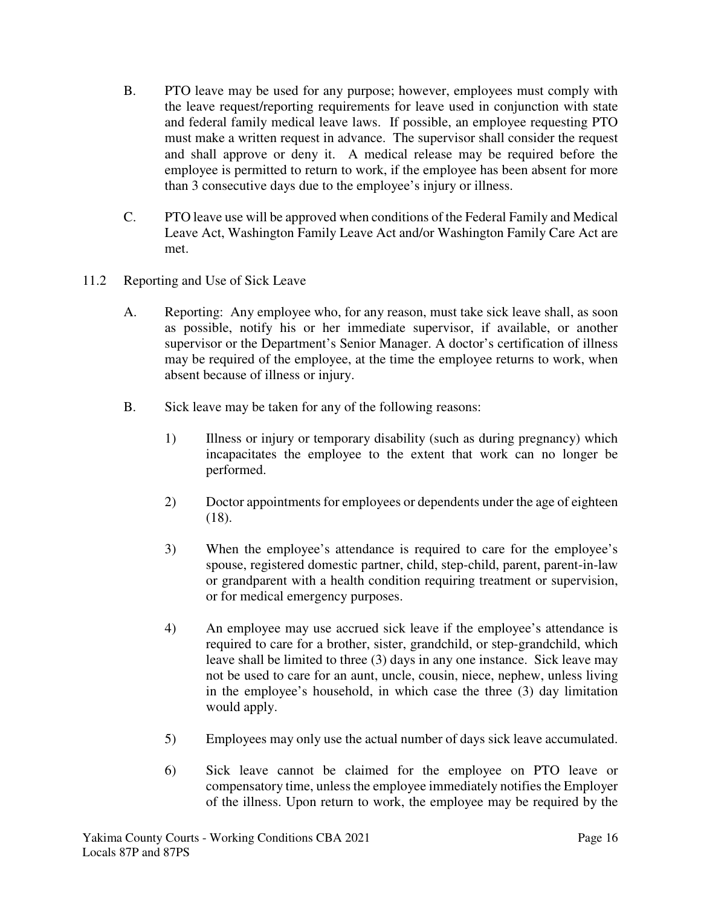- B. PTO leave may be used for any purpose; however, employees must comply with the leave request/reporting requirements for leave used in conjunction with state and federal family medical leave laws. If possible, an employee requesting PTO must make a written request in advance. The supervisor shall consider the request and shall approve or deny it. A medical release may be required before the employee is permitted to return to work, if the employee has been absent for more than 3 consecutive days due to the employee's injury or illness.
- C. PTO leave use will be approved when conditions of the Federal Family and Medical Leave Act, Washington Family Leave Act and/or Washington Family Care Act are met.
- 11.2 Reporting and Use of Sick Leave
	- A. Reporting: Any employee who, for any reason, must take sick leave shall, as soon as possible, notify his or her immediate supervisor, if available, or another supervisor or the Department's Senior Manager. A doctor's certification of illness may be required of the employee, at the time the employee returns to work, when absent because of illness or injury.
	- B. Sick leave may be taken for any of the following reasons:
		- 1) Illness or injury or temporary disability (such as during pregnancy) which incapacitates the employee to the extent that work can no longer be performed.
		- 2) Doctor appointments for employees or dependents under the age of eighteen (18).
		- 3) When the employee's attendance is required to care for the employee's spouse, registered domestic partner, child, step-child, parent, parent-in-law or grandparent with a health condition requiring treatment or supervision, or for medical emergency purposes.
		- 4) An employee may use accrued sick leave if the employee's attendance is required to care for a brother, sister, grandchild, or step-grandchild, which leave shall be limited to three (3) days in any one instance. Sick leave may not be used to care for an aunt, uncle, cousin, niece, nephew, unless living in the employee's household, in which case the three (3) day limitation would apply.
		- 5) Employees may only use the actual number of days sick leave accumulated.
		- 6) Sick leave cannot be claimed for the employee on PTO leave or compensatory time, unless the employee immediately notifies the Employer of the illness. Upon return to work, the employee may be required by the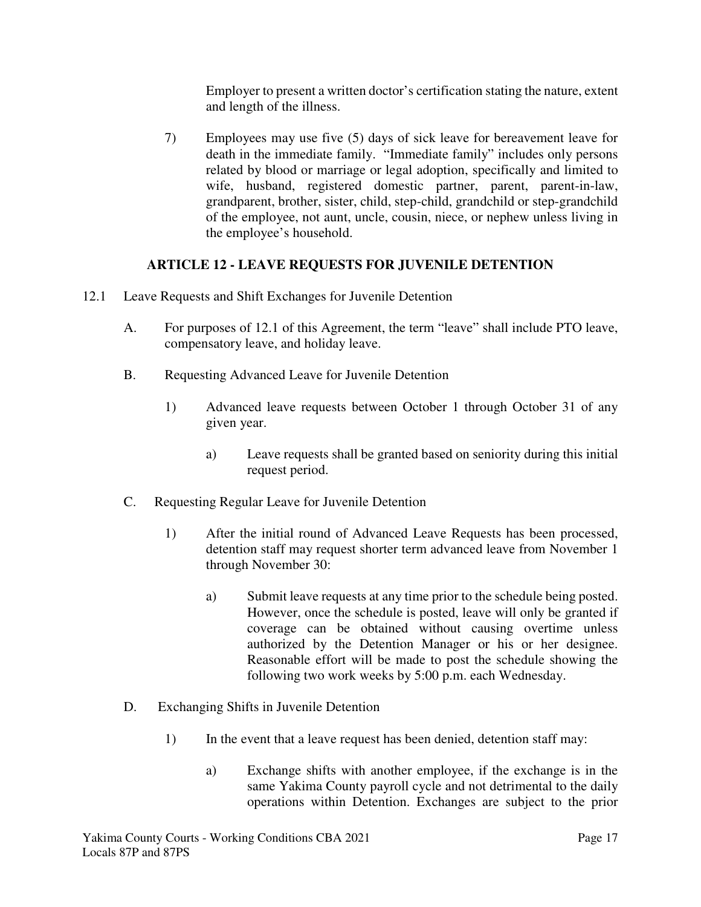Employer to present a written doctor's certification stating the nature, extent and length of the illness.

7) Employees may use five (5) days of sick leave for bereavement leave for death in the immediate family. "Immediate family" includes only persons related by blood or marriage or legal adoption, specifically and limited to wife, husband, registered domestic partner, parent, parent-in-law, grandparent, brother, sister, child, step-child, grandchild or step-grandchild of the employee, not aunt, uncle, cousin, niece, or nephew unless living in the employee's household.

# **ARTICLE 12 - LEAVE REQUESTS FOR JUVENILE DETENTION**

- 12.1 Leave Requests and Shift Exchanges for Juvenile Detention
	- A. For purposes of 12.1 of this Agreement, the term "leave" shall include PTO leave, compensatory leave, and holiday leave.
	- B. Requesting Advanced Leave for Juvenile Detention
		- 1) Advanced leave requests between October 1 through October 31 of any given year.
			- a) Leave requests shall be granted based on seniority during this initial request period.
	- C. Requesting Regular Leave for Juvenile Detention
		- 1) After the initial round of Advanced Leave Requests has been processed, detention staff may request shorter term advanced leave from November 1 through November 30:
			- a) Submit leave requests at any time prior to the schedule being posted. However, once the schedule is posted, leave will only be granted if coverage can be obtained without causing overtime unless authorized by the Detention Manager or his or her designee. Reasonable effort will be made to post the schedule showing the following two work weeks by 5:00 p.m. each Wednesday.
	- D. Exchanging Shifts in Juvenile Detention
		- 1) In the event that a leave request has been denied, detention staff may:
			- a) Exchange shifts with another employee, if the exchange is in the same Yakima County payroll cycle and not detrimental to the daily operations within Detention. Exchanges are subject to the prior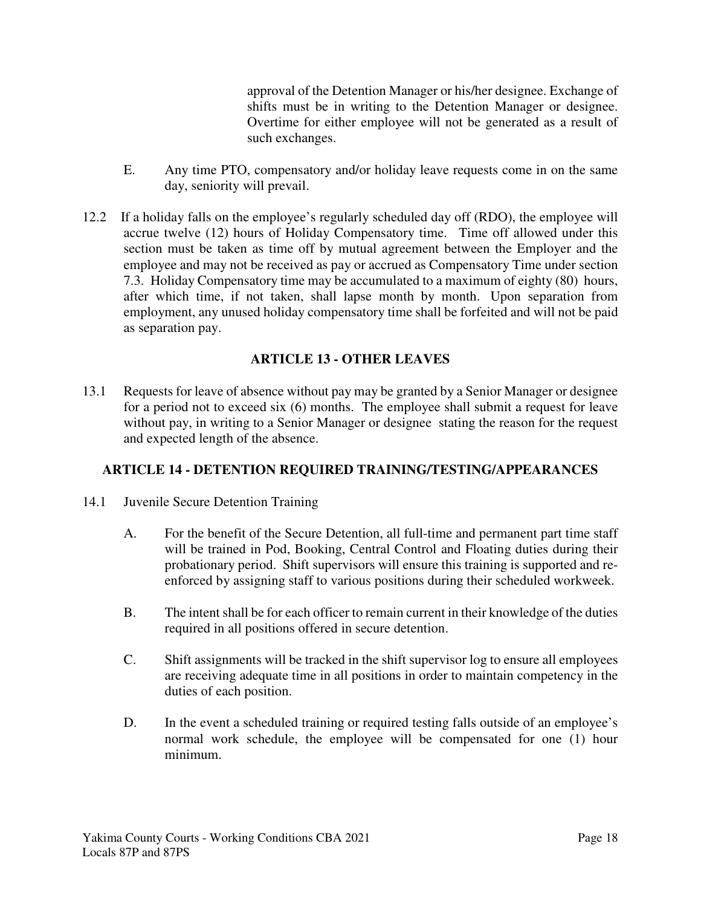approval of the Detention Manager or his/her designee. Exchange of shifts must be in writing to the Detention Manager or designee. Overtime for either employee will not be generated as a result of such exchanges.

- E. Any time PTO, compensatory and/or holiday leave requests come in on the same day, seniority will prevail.
- 12.2 If a holiday falls on the employee's regularly scheduled day off (RDO), the employee will accrue twelve (12) hours of Holiday Compensatory time. Time off allowed under this section must be taken as time off by mutual agreement between the Employer and the employee and may not be received as pay or accrued as Compensatory Time under section 7.3. Holiday Compensatory time may be accumulated to a maximum of eighty (80) hours, after which time, if not taken, shall lapse month by month. Upon separation from employment, any unused holiday compensatory time shall be forfeited and will not be paid as separation pay.

# **ARTICLE 13 - OTHER LEAVES**

13.1 Requests for leave of absence without pay may be granted by a Senior Manager or designee for a period not to exceed six (6) months. The employee shall submit a request for leave without pay, in writing to a Senior Manager or designee stating the reason for the request and expected length of the absence.

# **ARTICLE 14 - DETENTION REQUIRED TRAINING/TESTING/APPEARANCES**

- 14.1 Juvenile Secure Detention Training
	- A. For the benefit of the Secure Detention, all full-time and permanent part time staff will be trained in Pod, Booking, Central Control and Floating duties during their probationary period. Shift supervisors will ensure this training is supported and reenforced by assigning staff to various positions during their scheduled workweek.
	- B. The intent shall be for each officer to remain current in their knowledge of the duties required in all positions offered in secure detention.
	- C. Shift assignments will be tracked in the shift supervisor log to ensure all employees are receiving adequate time in all positions in order to maintain competency in the duties of each position.
	- D. In the event a scheduled training or required testing falls outside of an employee's normal work schedule, the employee will be compensated for one (1) hour minimum.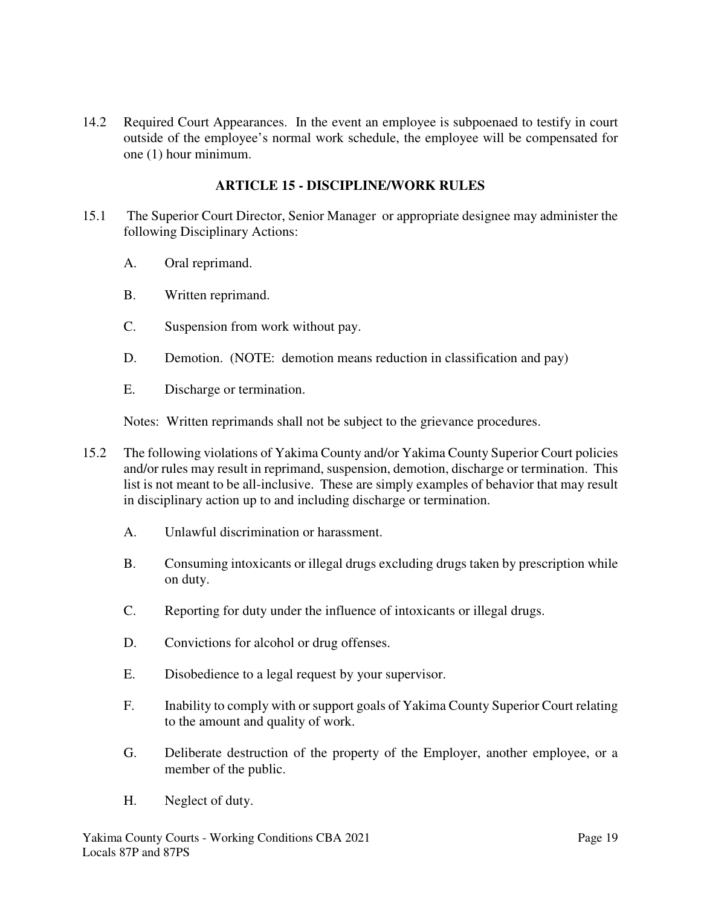14.2 Required Court Appearances. In the event an employee is subpoenaed to testify in court outside of the employee's normal work schedule, the employee will be compensated for one (1) hour minimum.

### **ARTICLE 15 - DISCIPLINE/WORK RULES**

- 15.1 The Superior Court Director, Senior Manager or appropriate designee may administer the following Disciplinary Actions:
	- A. Oral reprimand.
	- B. Written reprimand.
	- C. Suspension from work without pay.
	- D. Demotion. (NOTE: demotion means reduction in classification and pay)
	- E. Discharge or termination.

Notes: Written reprimands shall not be subject to the grievance procedures.

- 15.2 The following violations of Yakima County and/or Yakima County Superior Court policies and/or rules may result in reprimand, suspension, demotion, discharge or termination. This list is not meant to be all-inclusive. These are simply examples of behavior that may result in disciplinary action up to and including discharge or termination.
	- A. Unlawful discrimination or harassment.
	- B. Consuming intoxicants or illegal drugs excluding drugs taken by prescription while on duty.
	- C. Reporting for duty under the influence of intoxicants or illegal drugs.
	- D. Convictions for alcohol or drug offenses.
	- E. Disobedience to a legal request by your supervisor.
	- F. Inability to comply with or support goals of Yakima County Superior Court relating to the amount and quality of work.
	- G. Deliberate destruction of the property of the Employer, another employee, or a member of the public.
	- H. Neglect of duty.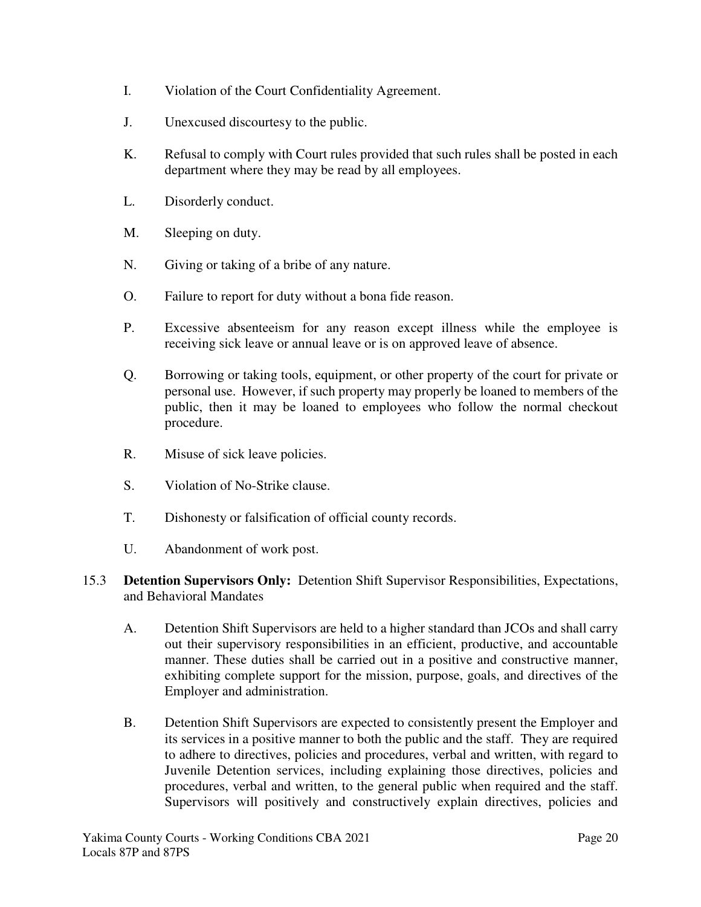- I. Violation of the Court Confidentiality Agreement.
- J. Unexcused discourtesy to the public.
- K. Refusal to comply with Court rules provided that such rules shall be posted in each department where they may be read by all employees.
- L. Disorderly conduct.
- M. Sleeping on duty.
- N. Giving or taking of a bribe of any nature.
- O. Failure to report for duty without a bona fide reason.
- P. Excessive absenteeism for any reason except illness while the employee is receiving sick leave or annual leave or is on approved leave of absence.
- Q. Borrowing or taking tools, equipment, or other property of the court for private or personal use. However, if such property may properly be loaned to members of the public, then it may be loaned to employees who follow the normal checkout procedure.
- R. Misuse of sick leave policies.
- S. Violation of No-Strike clause.
- T. Dishonesty or falsification of official county records.
- U. Abandonment of work post.
- 15.3 **Detention Supervisors Only:** Detention Shift Supervisor Responsibilities, Expectations, and Behavioral Mandates
	- A. Detention Shift Supervisors are held to a higher standard than JCOs and shall carry out their supervisory responsibilities in an efficient, productive, and accountable manner. These duties shall be carried out in a positive and constructive manner, exhibiting complete support for the mission, purpose, goals, and directives of the Employer and administration.
	- B. Detention Shift Supervisors are expected to consistently present the Employer and its services in a positive manner to both the public and the staff. They are required to adhere to directives, policies and procedures, verbal and written, with regard to Juvenile Detention services, including explaining those directives, policies and procedures, verbal and written, to the general public when required and the staff. Supervisors will positively and constructively explain directives, policies and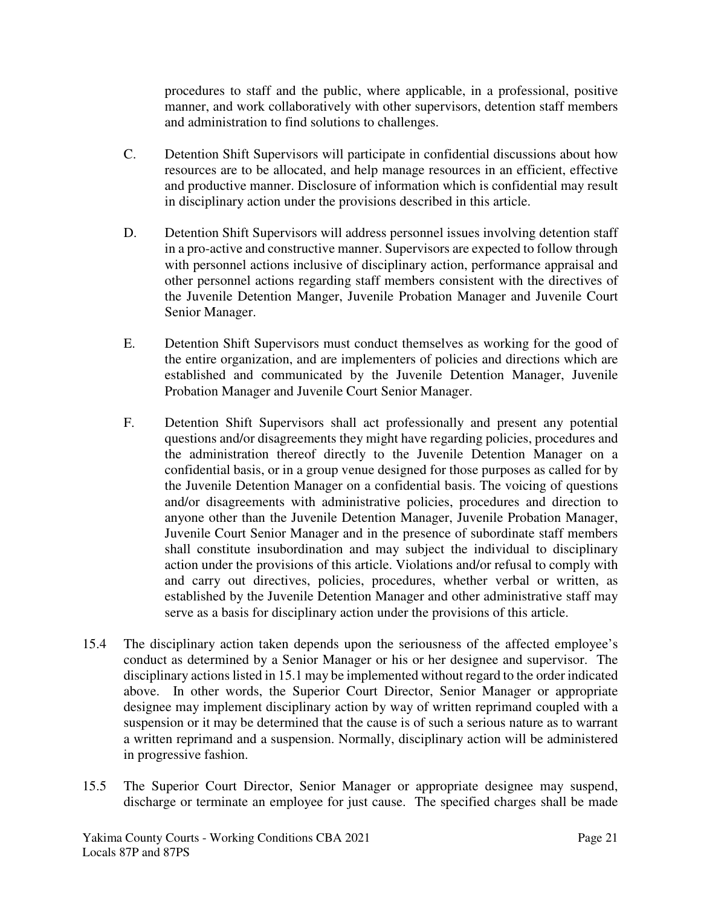procedures to staff and the public, where applicable, in a professional, positive manner, and work collaboratively with other supervisors, detention staff members and administration to find solutions to challenges.

- C. Detention Shift Supervisors will participate in confidential discussions about how resources are to be allocated, and help manage resources in an efficient, effective and productive manner. Disclosure of information which is confidential may result in disciplinary action under the provisions described in this article.
- D. Detention Shift Supervisors will address personnel issues involving detention staff in a pro-active and constructive manner. Supervisors are expected to follow through with personnel actions inclusive of disciplinary action, performance appraisal and other personnel actions regarding staff members consistent with the directives of the Juvenile Detention Manger, Juvenile Probation Manager and Juvenile Court Senior Manager.
- E. Detention Shift Supervisors must conduct themselves as working for the good of the entire organization, and are implementers of policies and directions which are established and communicated by the Juvenile Detention Manager, Juvenile Probation Manager and Juvenile Court Senior Manager.
- F. Detention Shift Supervisors shall act professionally and present any potential questions and/or disagreements they might have regarding policies, procedures and the administration thereof directly to the Juvenile Detention Manager on a confidential basis, or in a group venue designed for those purposes as called for by the Juvenile Detention Manager on a confidential basis. The voicing of questions and/or disagreements with administrative policies, procedures and direction to anyone other than the Juvenile Detention Manager, Juvenile Probation Manager, Juvenile Court Senior Manager and in the presence of subordinate staff members shall constitute insubordination and may subject the individual to disciplinary action under the provisions of this article. Violations and/or refusal to comply with and carry out directives, policies, procedures, whether verbal or written, as established by the Juvenile Detention Manager and other administrative staff may serve as a basis for disciplinary action under the provisions of this article.
- 15.4 The disciplinary action taken depends upon the seriousness of the affected employee's conduct as determined by a Senior Manager or his or her designee and supervisor. The disciplinary actions listed in 15.1 may be implemented without regard to the order indicated above. In other words, the Superior Court Director, Senior Manager or appropriate designee may implement disciplinary action by way of written reprimand coupled with a suspension or it may be determined that the cause is of such a serious nature as to warrant a written reprimand and a suspension. Normally, disciplinary action will be administered in progressive fashion.
- 15.5 The Superior Court Director, Senior Manager or appropriate designee may suspend, discharge or terminate an employee for just cause. The specified charges shall be made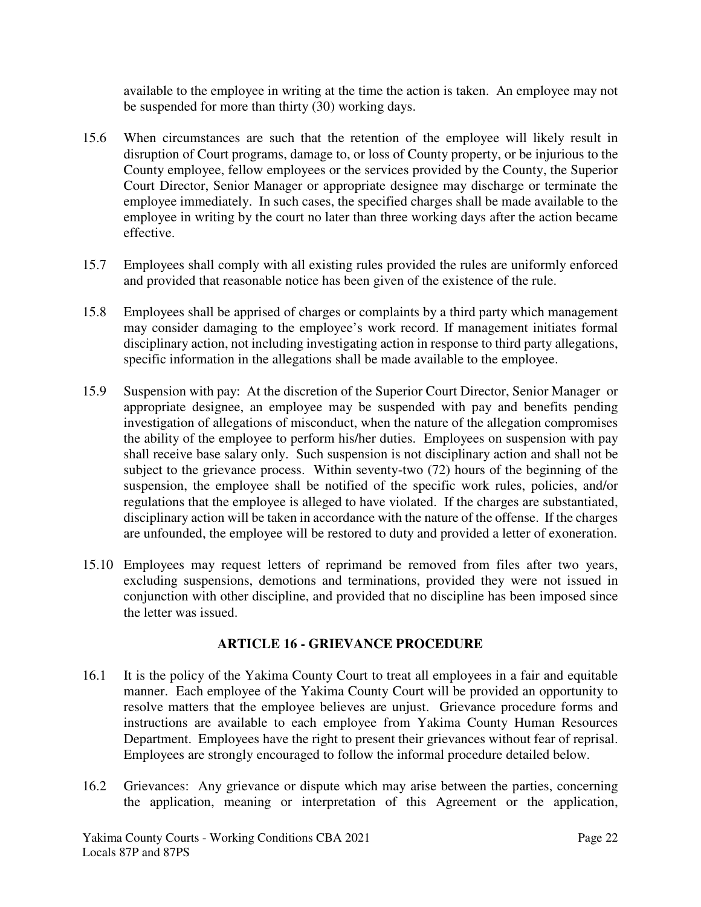available to the employee in writing at the time the action is taken. An employee may not be suspended for more than thirty (30) working days.

- 15.6 When circumstances are such that the retention of the employee will likely result in disruption of Court programs, damage to, or loss of County property, or be injurious to the County employee, fellow employees or the services provided by the County, the Superior Court Director, Senior Manager or appropriate designee may discharge or terminate the employee immediately. In such cases, the specified charges shall be made available to the employee in writing by the court no later than three working days after the action became effective.
- 15.7 Employees shall comply with all existing rules provided the rules are uniformly enforced and provided that reasonable notice has been given of the existence of the rule.
- 15.8 Employees shall be apprised of charges or complaints by a third party which management may consider damaging to the employee's work record. If management initiates formal disciplinary action, not including investigating action in response to third party allegations, specific information in the allegations shall be made available to the employee.
- 15.9 Suspension with pay: At the discretion of the Superior Court Director, Senior Manager or appropriate designee, an employee may be suspended with pay and benefits pending investigation of allegations of misconduct, when the nature of the allegation compromises the ability of the employee to perform his/her duties. Employees on suspension with pay shall receive base salary only. Such suspension is not disciplinary action and shall not be subject to the grievance process. Within seventy-two (72) hours of the beginning of the suspension, the employee shall be notified of the specific work rules, policies, and/or regulations that the employee is alleged to have violated. If the charges are substantiated, disciplinary action will be taken in accordance with the nature of the offense. If the charges are unfounded, the employee will be restored to duty and provided a letter of exoneration.
- 15.10 Employees may request letters of reprimand be removed from files after two years, excluding suspensions, demotions and terminations, provided they were not issued in conjunction with other discipline, and provided that no discipline has been imposed since the letter was issued.

#### **ARTICLE 16 - GRIEVANCE PROCEDURE**

- 16.1 It is the policy of the Yakima County Court to treat all employees in a fair and equitable manner. Each employee of the Yakima County Court will be provided an opportunity to resolve matters that the employee believes are unjust. Grievance procedure forms and instructions are available to each employee from Yakima County Human Resources Department. Employees have the right to present their grievances without fear of reprisal. Employees are strongly encouraged to follow the informal procedure detailed below.
- 16.2 Grievances: Any grievance or dispute which may arise between the parties, concerning the application, meaning or interpretation of this Agreement or the application,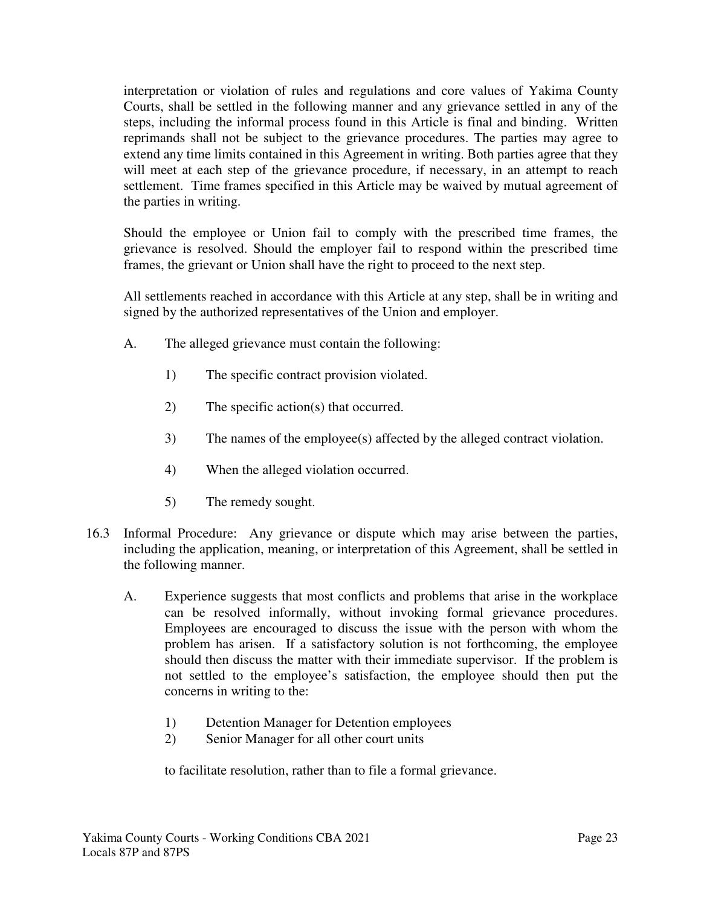interpretation or violation of rules and regulations and core values of Yakima County Courts, shall be settled in the following manner and any grievance settled in any of the steps, including the informal process found in this Article is final and binding. Written reprimands shall not be subject to the grievance procedures. The parties may agree to extend any time limits contained in this Agreement in writing. Both parties agree that they will meet at each step of the grievance procedure, if necessary, in an attempt to reach settlement. Time frames specified in this Article may be waived by mutual agreement of the parties in writing.

Should the employee or Union fail to comply with the prescribed time frames, the grievance is resolved. Should the employer fail to respond within the prescribed time frames, the grievant or Union shall have the right to proceed to the next step.

All settlements reached in accordance with this Article at any step, shall be in writing and signed by the authorized representatives of the Union and employer.

- A. The alleged grievance must contain the following:
	- 1) The specific contract provision violated.
	- 2) The specific action(s) that occurred.
	- 3) The names of the employee(s) affected by the alleged contract violation.
	- 4) When the alleged violation occurred.
	- 5) The remedy sought.
- 16.3 Informal Procedure: Any grievance or dispute which may arise between the parties, including the application, meaning, or interpretation of this Agreement, shall be settled in the following manner.
	- A. Experience suggests that most conflicts and problems that arise in the workplace can be resolved informally, without invoking formal grievance procedures. Employees are encouraged to discuss the issue with the person with whom the problem has arisen. If a satisfactory solution is not forthcoming, the employee should then discuss the matter with their immediate supervisor. If the problem is not settled to the employee's satisfaction, the employee should then put the concerns in writing to the:
		- 1) Detention Manager for Detention employees
		- 2) Senior Manager for all other court units

to facilitate resolution, rather than to file a formal grievance.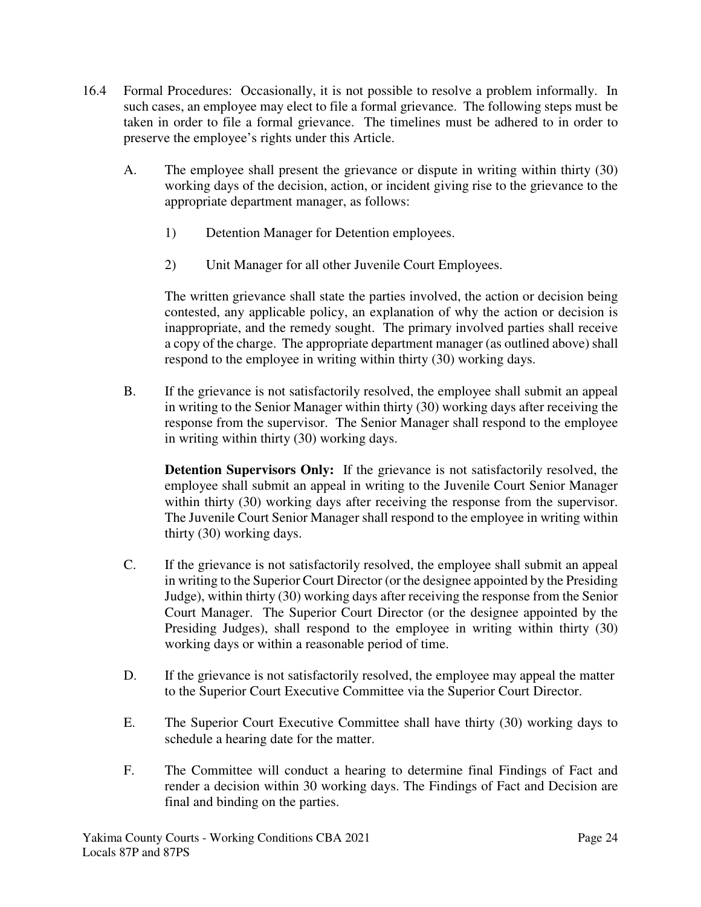- 16.4 Formal Procedures: Occasionally, it is not possible to resolve a problem informally. In such cases, an employee may elect to file a formal grievance. The following steps must be taken in order to file a formal grievance. The timelines must be adhered to in order to preserve the employee's rights under this Article.
	- A. The employee shall present the grievance or dispute in writing within thirty (30) working days of the decision, action, or incident giving rise to the grievance to the appropriate department manager, as follows:
		- 1) Detention Manager for Detention employees.
		- 2) Unit Manager for all other Juvenile Court Employees.

The written grievance shall state the parties involved, the action or decision being contested, any applicable policy, an explanation of why the action or decision is inappropriate, and the remedy sought. The primary involved parties shall receive a copy of the charge. The appropriate department manager (as outlined above) shall respond to the employee in writing within thirty (30) working days.

B. If the grievance is not satisfactorily resolved, the employee shall submit an appeal in writing to the Senior Manager within thirty (30) working days after receiving the response from the supervisor. The Senior Manager shall respond to the employee in writing within thirty (30) working days.

**Detention Supervisors Only:** If the grievance is not satisfactorily resolved, the employee shall submit an appeal in writing to the Juvenile Court Senior Manager within thirty (30) working days after receiving the response from the supervisor. The Juvenile Court Senior Manager shall respond to the employee in writing within thirty (30) working days.

- C. If the grievance is not satisfactorily resolved, the employee shall submit an appeal in writing to the Superior Court Director (or the designee appointed by the Presiding Judge), within thirty (30) working days after receiving the response from the Senior Court Manager. The Superior Court Director (or the designee appointed by the Presiding Judges), shall respond to the employee in writing within thirty (30) working days or within a reasonable period of time.
- D. If the grievance is not satisfactorily resolved, the employee may appeal the matter to the Superior Court Executive Committee via the Superior Court Director.
- E. The Superior Court Executive Committee shall have thirty (30) working days to schedule a hearing date for the matter.
- F. The Committee will conduct a hearing to determine final Findings of Fact and render a decision within 30 working days. The Findings of Fact and Decision are final and binding on the parties.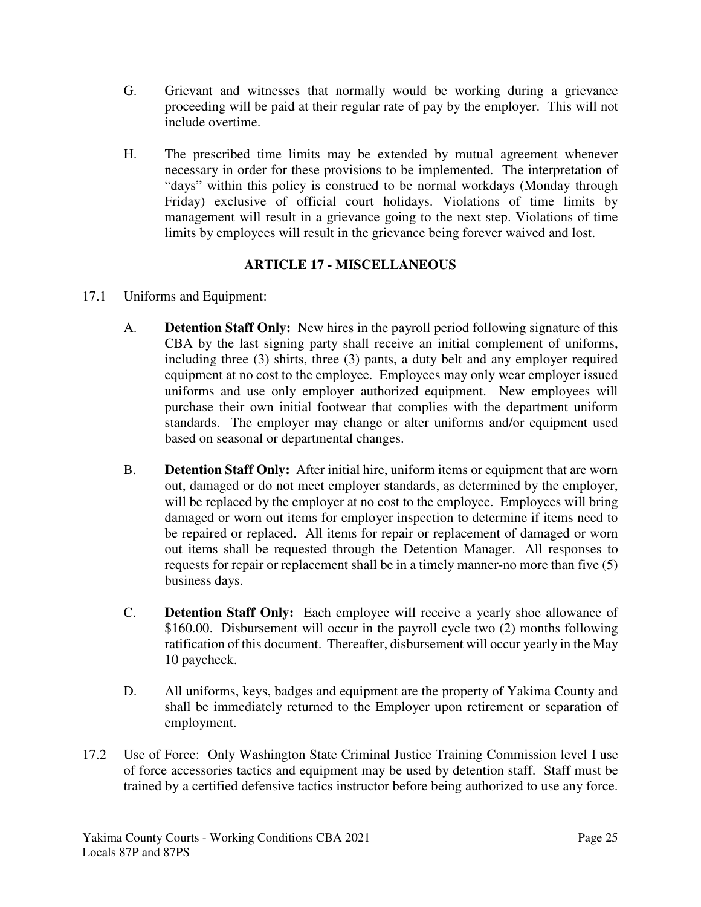- G. Grievant and witnesses that normally would be working during a grievance proceeding will be paid at their regular rate of pay by the employer. This will not include overtime.
- H. The prescribed time limits may be extended by mutual agreement whenever necessary in order for these provisions to be implemented. The interpretation of "days" within this policy is construed to be normal workdays (Monday through Friday) exclusive of official court holidays. Violations of time limits by management will result in a grievance going to the next step. Violations of time limits by employees will result in the grievance being forever waived and lost.

# **ARTICLE 17 - MISCELLANEOUS**

- 17.1 Uniforms and Equipment:
	- A. **Detention Staff Only:** New hires in the payroll period following signature of this CBA by the last signing party shall receive an initial complement of uniforms, including three (3) shirts, three (3) pants, a duty belt and any employer required equipment at no cost to the employee. Employees may only wear employer issued uniforms and use only employer authorized equipment. New employees will purchase their own initial footwear that complies with the department uniform standards. The employer may change or alter uniforms and/or equipment used based on seasonal or departmental changes.
	- B. **Detention Staff Only:** After initial hire, uniform items or equipment that are worn out, damaged or do not meet employer standards, as determined by the employer, will be replaced by the employer at no cost to the employee. Employees will bring damaged or worn out items for employer inspection to determine if items need to be repaired or replaced. All items for repair or replacement of damaged or worn out items shall be requested through the Detention Manager. All responses to requests for repair or replacement shall be in a timely manner-no more than five (5) business days.
	- C. **Detention Staff Only:** Each employee will receive a yearly shoe allowance of \$160.00. Disbursement will occur in the payroll cycle two (2) months following ratification of this document. Thereafter, disbursement will occur yearly in the May 10 paycheck.
	- D. All uniforms, keys, badges and equipment are the property of Yakima County and shall be immediately returned to the Employer upon retirement or separation of employment.
- 17.2 Use of Force: Only Washington State Criminal Justice Training Commission level I use of force accessories tactics and equipment may be used by detention staff. Staff must be trained by a certified defensive tactics instructor before being authorized to use any force.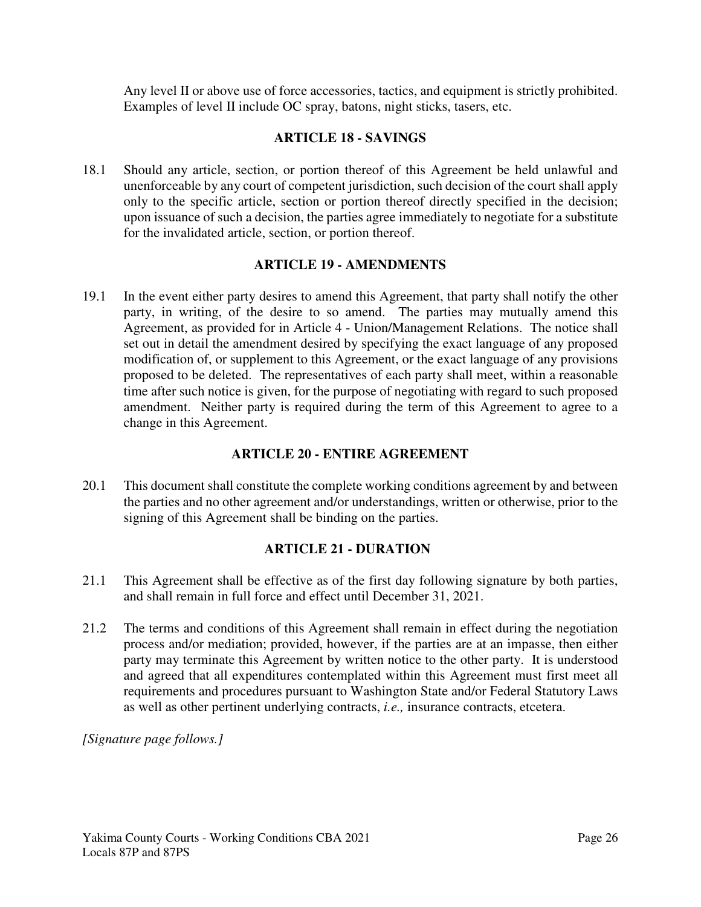Any level II or above use of force accessories, tactics, and equipment is strictly prohibited. Examples of level II include OC spray, batons, night sticks, tasers, etc.

## **ARTICLE 18 - SAVINGS**

18.1 Should any article, section, or portion thereof of this Agreement be held unlawful and unenforceable by any court of competent jurisdiction, such decision of the court shall apply only to the specific article, section or portion thereof directly specified in the decision; upon issuance of such a decision, the parties agree immediately to negotiate for a substitute for the invalidated article, section, or portion thereof.

### **ARTICLE 19 - AMENDMENTS**

19.1 In the event either party desires to amend this Agreement, that party shall notify the other party, in writing, of the desire to so amend. The parties may mutually amend this Agreement, as provided for in Article 4 - Union/Management Relations. The notice shall set out in detail the amendment desired by specifying the exact language of any proposed modification of, or supplement to this Agreement, or the exact language of any provisions proposed to be deleted. The representatives of each party shall meet, within a reasonable time after such notice is given, for the purpose of negotiating with regard to such proposed amendment. Neither party is required during the term of this Agreement to agree to a change in this Agreement.

#### **ARTICLE 20 - ENTIRE AGREEMENT**

20.1 This document shall constitute the complete working conditions agreement by and between the parties and no other agreement and/or understandings, written or otherwise, prior to the signing of this Agreement shall be binding on the parties.

# **ARTICLE 21 - DURATION**

- 21.1 This Agreement shall be effective as of the first day following signature by both parties, and shall remain in full force and effect until December 31, 2021.
- 21.2 The terms and conditions of this Agreement shall remain in effect during the negotiation process and/or mediation; provided, however, if the parties are at an impasse, then either party may terminate this Agreement by written notice to the other party. It is understood and agreed that all expenditures contemplated within this Agreement must first meet all requirements and procedures pursuant to Washington State and/or Federal Statutory Laws as well as other pertinent underlying contracts, *i.e.,* insurance contracts, etcetera.

*[Signature page follows.]*